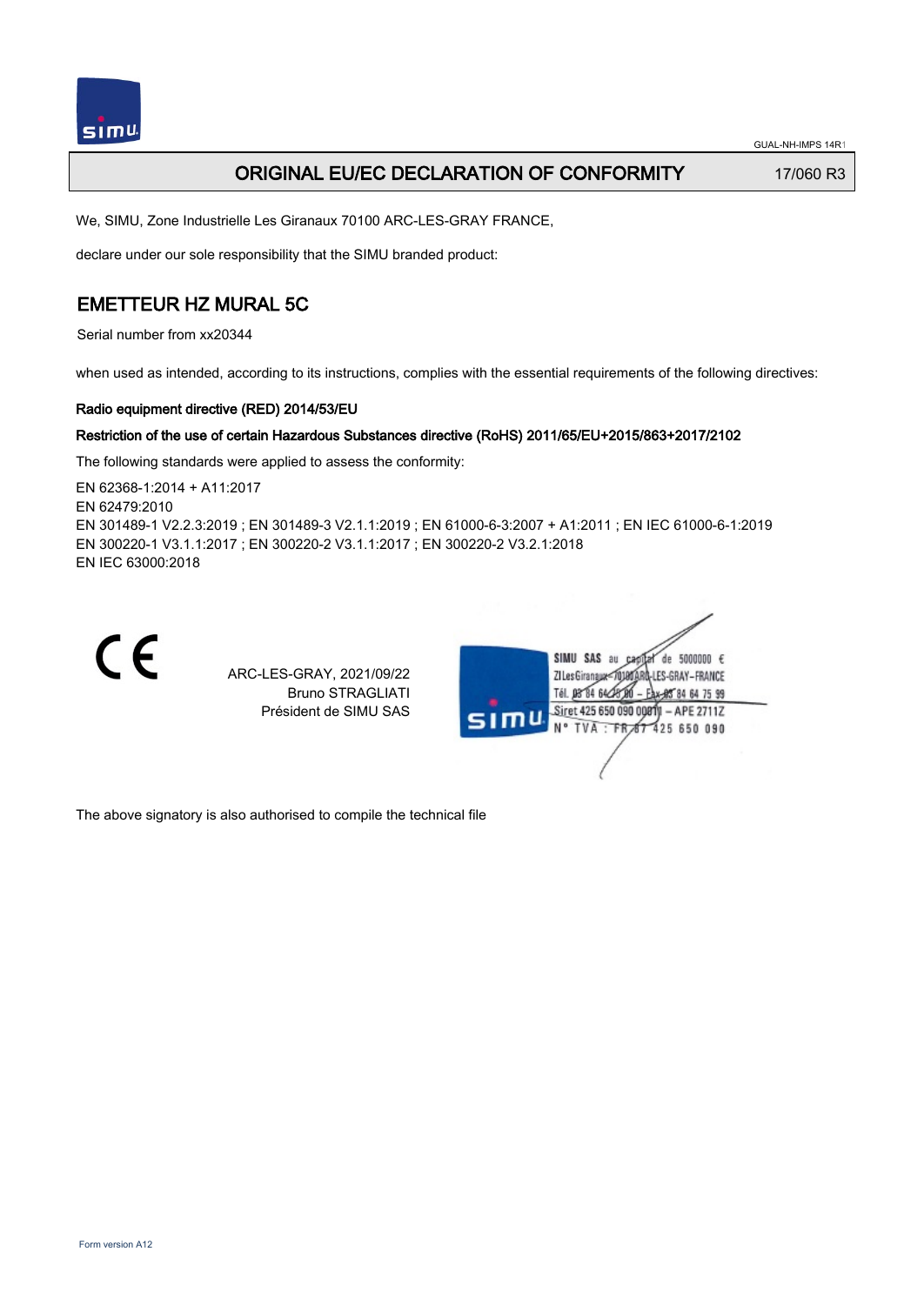

## ORIGINAL EU/EC DECLARATION OF CONFORMITY 17/060 R3

We, SIMU, Zone Industrielle Les Giranaux 70100 ARC-LES-GRAY FRANCE,

declare under our sole responsibility that the SIMU branded product:

## EMETTEUR HZ MURAL 5C

Serial number from xx20344

when used as intended, according to its instructions, complies with the essential requirements of the following directives:

### Radio equipment directive (RED) 2014/53/EU

### Restriction of the use of certain Hazardous Substances directive (RoHS) 2011/65/EU+2015/863+2017/2102

The following standards were applied to assess the conformity:

EN 62368‑1:2014 + A11:2017 EN 62479:2010 EN 301489‑1 V2.2.3:2019 ; EN 301489‑3 V2.1.1:2019 ; EN 61000‑6‑3:2007 + A1:2011 ; EN IEC 61000‑6‑1:2019 EN 300220‑1 V3.1.1:2017 ; EN 300220‑2 V3.1.1:2017 ; EN 300220‑2 V3.2.1:2018 EN IEC 63000:2018



ARC-LES-GRAY, 2021/09/22 Bruno STRAGLIATI Président de SIMU SAS



The above signatory is also authorised to compile the technical file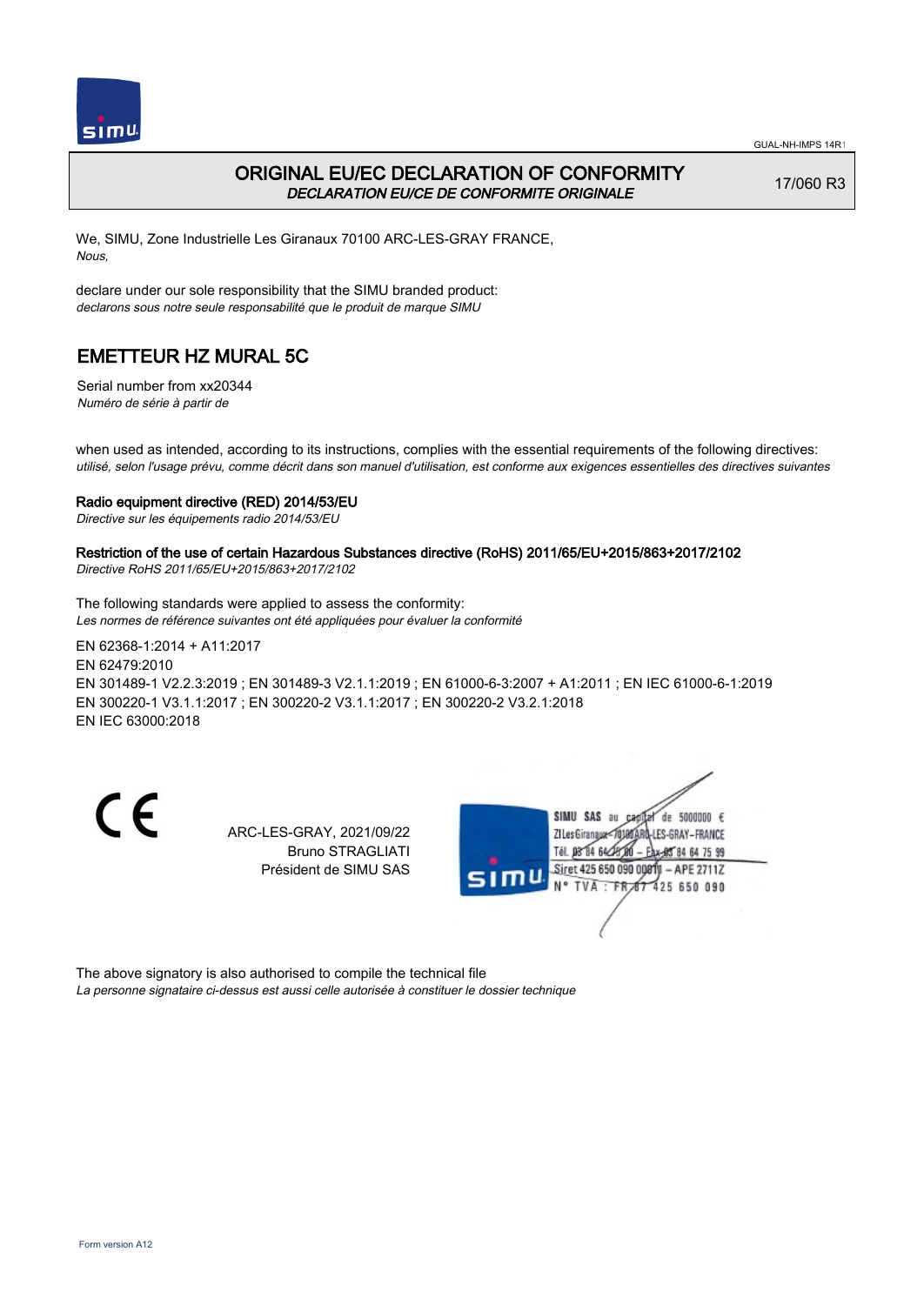

## ORIGINAL EU/EC DECLARATION OF CONFORMITY DECLARATION EU/CE DE CONFORMITE ORIGINALE

17/060 R3

We, SIMU, Zone Industrielle Les Giranaux 70100 ARC-LES-GRAY FRANCE, Nous,

declare under our sole responsibility that the SIMU branded product: declarons sous notre seule responsabilité que le produit de marque SIMU

# EMETTEUR HZ MURAL 5C

Serial number from xx20344 Numéro de série à partir de

when used as intended, according to its instructions, complies with the essential requirements of the following directives: utilisé, selon l'usage prévu, comme décrit dans son manuel d'utilisation, est conforme aux exigences essentielles des directives suivantes

### Radio equipment directive (RED) 2014/53/EU

Directive sur les équipements radio 2014/53/EU

### Restriction of the use of certain Hazardous Substances directive (RoHS) 2011/65/EU+2015/863+2017/2102

Directive RoHS 2011/65/EU+2015/863+2017/2102

The following standards were applied to assess the conformity: Les normes de référence suivantes ont été appliquées pour évaluer la conformité

EN 62368‑1:2014 + A11:2017 EN 62479:2010 EN 301489‑1 V2.2.3:2019 ; EN 301489‑3 V2.1.1:2019 ; EN 61000‑6‑3:2007 + A1:2011 ; EN IEC 61000‑6‑1:2019 EN 300220‑1 V3.1.1:2017 ; EN 300220‑2 V3.1.1:2017 ; EN 300220‑2 V3.2.1:2018 EN IEC 63000:2018

CE

ARC-LES-GRAY, 2021/09/22 Bruno STRAGLIATI Président de SIMU SAS



The above signatory is also authorised to compile the technical file La personne signataire ci-dessus est aussi celle autorisée à constituer le dossier technique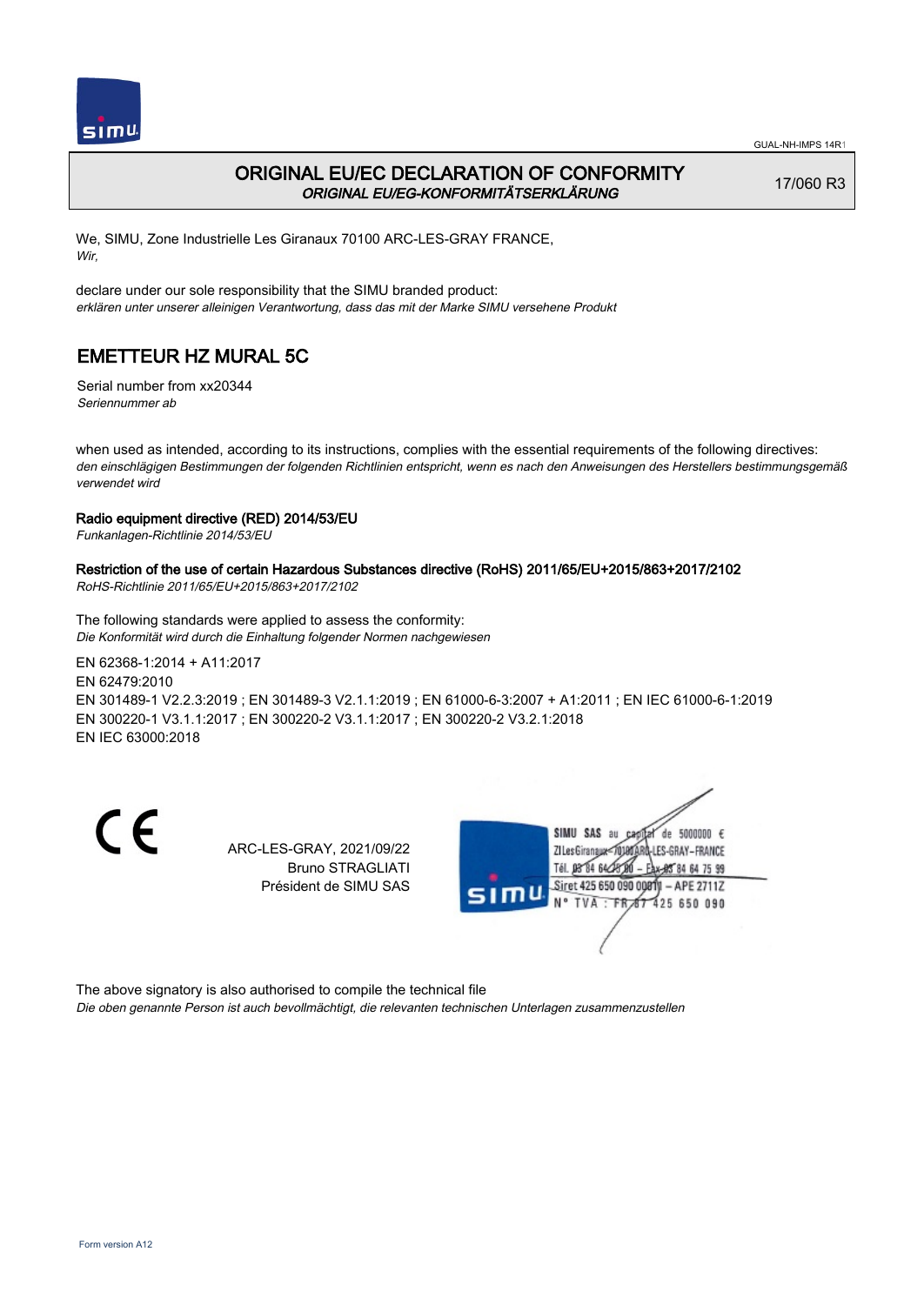

## ORIGINAL EU/EC DECLARATION OF CONFORMITY ORIGINAL EU/EG-KONFORMITÄTSERKLÄRUNG

17/060 R3

We, SIMU, Zone Industrielle Les Giranaux 70100 ARC-LES-GRAY FRANCE, Wir,

declare under our sole responsibility that the SIMU branded product: erklären unter unserer alleinigen Verantwortung, dass das mit der Marke SIMU versehene Produkt

# EMETTEUR HZ MURAL 5C

Serial number from xx20344 Seriennummer ab

when used as intended, according to its instructions, complies with the essential requirements of the following directives: den einschlägigen Bestimmungen der folgenden Richtlinien entspricht, wenn es nach den Anweisungen des Herstellers bestimmungsgemäß verwendet wird

### Radio equipment directive (RED) 2014/53/EU

Funkanlagen-Richtlinie 2014/53/EU

### Restriction of the use of certain Hazardous Substances directive (RoHS) 2011/65/EU+2015/863+2017/2102

RoHS-Richtlinie 2011/65/EU+2015/863+2017/2102

The following standards were applied to assess the conformity: Die Konformität wird durch die Einhaltung folgender Normen nachgewiesen

EN 62368‑1:2014 + A11:2017 EN 62479:2010 EN 301489‑1 V2.2.3:2019 ; EN 301489‑3 V2.1.1:2019 ; EN 61000‑6‑3:2007 + A1:2011 ; EN IEC 61000‑6‑1:2019 EN 300220‑1 V3.1.1:2017 ; EN 300220‑2 V3.1.1:2017 ; EN 300220‑2 V3.2.1:2018 EN IEC 63000:2018

CE

ARC-LES-GRAY, 2021/09/22 Bruno STRAGLIATI Président de SIMU SAS



The above signatory is also authorised to compile the technical file

Die oben genannte Person ist auch bevollmächtigt, die relevanten technischen Unterlagen zusammenzustellen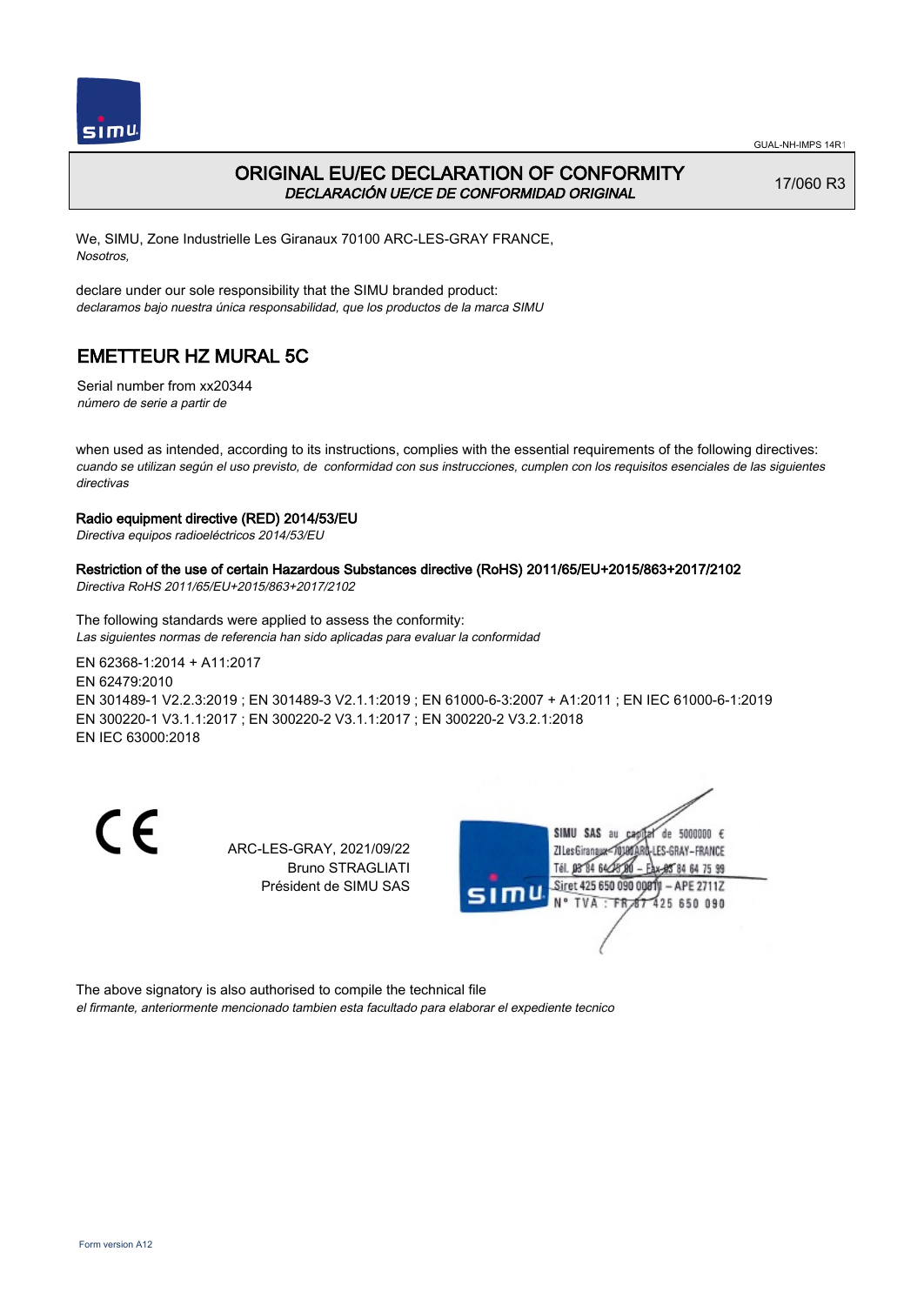



## ORIGINAL EU/EC DECLARATION OF CONFORMITY DECLARACIÓN UE/CE DE CONFORMIDAD ORIGINAL

17/060 R3

We, SIMU, Zone Industrielle Les Giranaux 70100 ARC-LES-GRAY FRANCE, Nosotros,

declare under our sole responsibility that the SIMU branded product: declaramos bajo nuestra única responsabilidad, que los productos de la marca SIMU

# EMETTEUR HZ MURAL 5C

Serial number from xx20344 número de serie a partir de

when used as intended, according to its instructions, complies with the essential requirements of the following directives: cuando se utilizan según el uso previsto, de conformidad con sus instrucciones, cumplen con los requisitos esenciales de las siguientes directivas

### Radio equipment directive (RED) 2014/53/EU

Directiva equipos radioeléctricos 2014/53/EU

### Restriction of the use of certain Hazardous Substances directive (RoHS) 2011/65/EU+2015/863+2017/2102

Directiva RoHS 2011/65/EU+2015/863+2017/2102

The following standards were applied to assess the conformity: Las siguientes normas de referencia han sido aplicadas para evaluar la conformidad

EN 62368‑1:2014 + A11:2017 EN 62479:2010 EN 301489‑1 V2.2.3:2019 ; EN 301489‑3 V2.1.1:2019 ; EN 61000‑6‑3:2007 + A1:2011 ; EN IEC 61000‑6‑1:2019 EN 300220‑1 V3.1.1:2017 ; EN 300220‑2 V3.1.1:2017 ; EN 300220‑2 V3.2.1:2018 EN IEC 63000:2018

CE

ARC-LES-GRAY, 2021/09/22 Bruno STRAGLIATI Président de SIMU SAS



The above signatory is also authorised to compile the technical file

el firmante, anteriormente mencionado tambien esta facultado para elaborar el expediente tecnico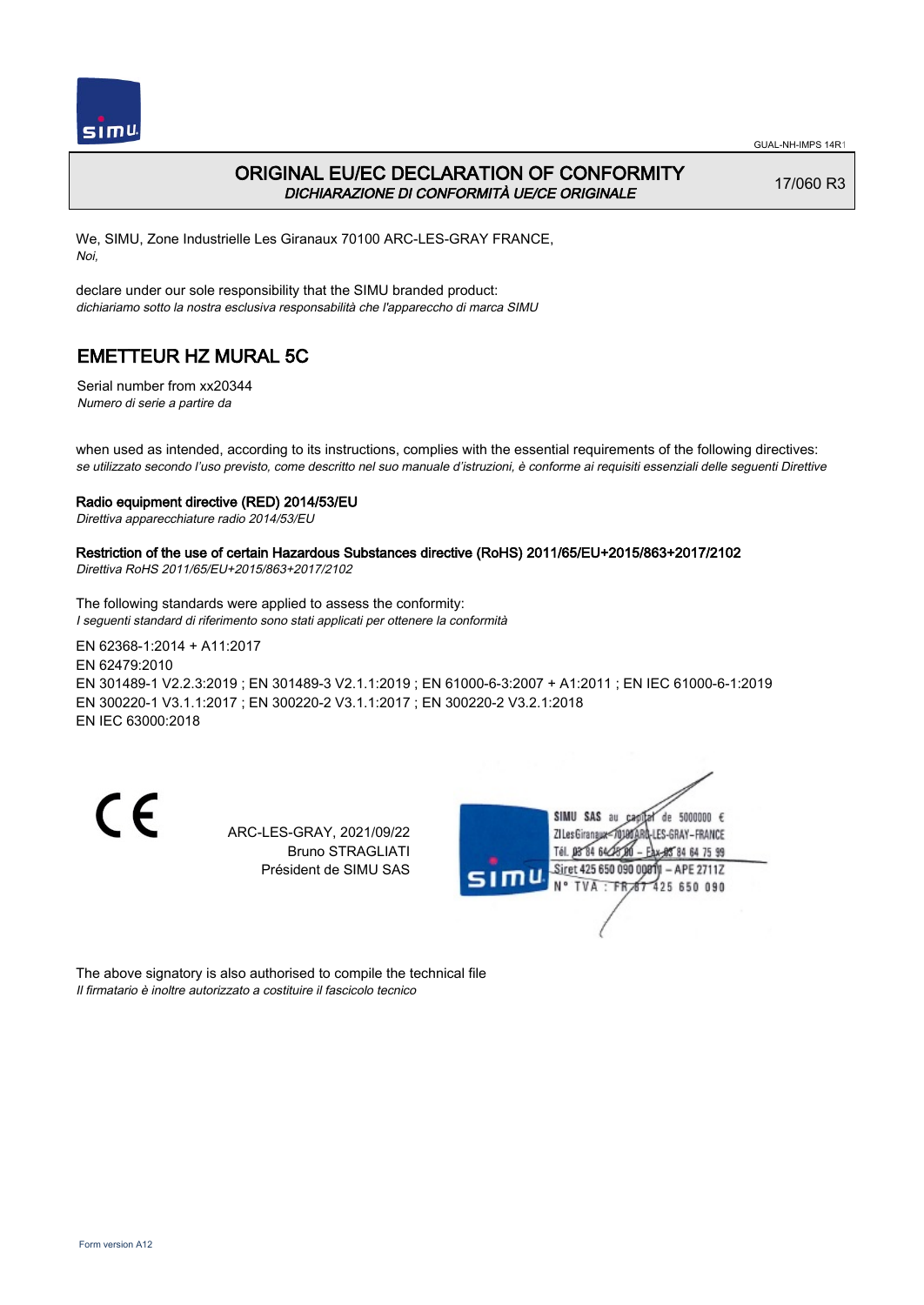

## ORIGINAL EU/EC DECLARATION OF CONFORMITY DICHIARAZIONE DI CONFORMITÀ UE/CE ORIGINALE

17/060 R3

We, SIMU, Zone Industrielle Les Giranaux 70100 ARC-LES-GRAY FRANCE, Noi,

declare under our sole responsibility that the SIMU branded product: dichiariamo sotto la nostra esclusiva responsabilità che l'appareccho di marca SIMU

## EMETTEUR HZ MURAL 5C

Serial number from xx20344 Numero di serie a partire da

when used as intended, according to its instructions, complies with the essential requirements of the following directives: se utilizzato secondo l'uso previsto, come descritto nel suo manuale d'istruzioni, è conforme ai requisiti essenziali delle seguenti Direttive

#### Radio equipment directive (RED) 2014/53/EU

Direttiva apparecchiature radio 2014/53/EU

### Restriction of the use of certain Hazardous Substances directive (RoHS) 2011/65/EU+2015/863+2017/2102

Direttiva RoHS 2011/65/EU+2015/863+2017/2102

The following standards were applied to assess the conformity: I seguenti standard di riferimento sono stati applicati per ottenere la conformità

EN 62368‑1:2014 + A11:2017 EN 62479:2010 EN 301489‑1 V2.2.3:2019 ; EN 301489‑3 V2.1.1:2019 ; EN 61000‑6‑3:2007 + A1:2011 ; EN IEC 61000‑6‑1:2019 EN 300220‑1 V3.1.1:2017 ; EN 300220‑2 V3.1.1:2017 ; EN 300220‑2 V3.2.1:2018 EN IEC 63000:2018

CE

ARC-LES-GRAY, 2021/09/22 Bruno STRAGLIATI Président de SIMU SAS



The above signatory is also authorised to compile the technical file Il firmatario è inoltre autorizzato a costituire il fascicolo tecnico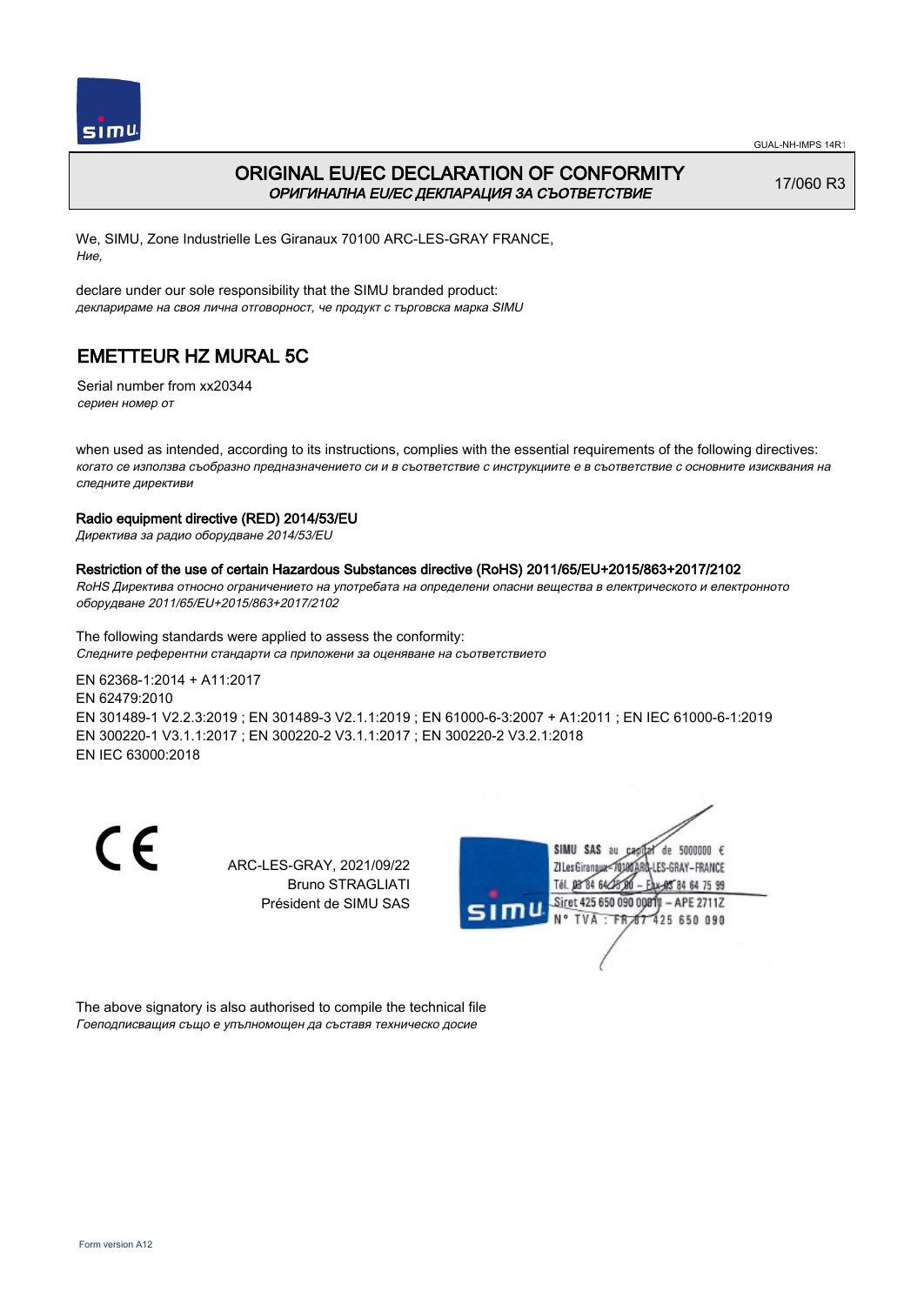

## ORIGINAL EU/EC DECLARATION OF CONFORMITY ОРИГИНАЛНА EU/EC ДЕКЛАРАЦИЯ ЗА СЪОТВЕТСТВИЕ

17/060 R3

We, SIMU, Zone Industrielle Les Giranaux 70100 ARC-LES-GRAY FRANCE, Ние,

declare under our sole responsibility that the SIMU branded product: декларираме на своя лична отговорност, че продукт с търговска марка SIMU

# EMETTEUR HZ MURAL 5C

Serial number from xx20344 сериен номер от

when used as intended, according to its instructions, complies with the essential requirements of the following directives: когато се използва съобразно предназначението си и в съответствие с инструкциите е в съответствие с основните изисквания на следните директиви

### Radio equipment directive (RED) 2014/53/EU

Директива за радио оборудване 2014/53/EU

### Restriction of the use of certain Hazardous Substances directive (RoHS) 2011/65/EU+2015/863+2017/2102

RoHS Директива относно ограничението на употребата на определени опасни вещества в електрическото и електронното оборудване 2011/65/EU+2015/863+2017/2102

The following standards were applied to assess the conformity: Следните референтни стандарти са приложени за оценяване на съответствието

EN 62368‑1:2014 + A11:2017 EN 62479:2010 EN 301489‑1 V2.2.3:2019 ; EN 301489‑3 V2.1.1:2019 ; EN 61000‑6‑3:2007 + A1:2011 ; EN IEC 61000‑6‑1:2019 EN 300220‑1 V3.1.1:2017 ; EN 300220‑2 V3.1.1:2017 ; EN 300220‑2 V3.2.1:2018 EN IEC 63000:2018

CE

ARC-LES-GRAY, 2021/09/22 Bruno STRAGLIATI Président de SIMU SAS



The above signatory is also authorised to compile the technical file Гоеподписващия също е упълномощен да съставя техническо досие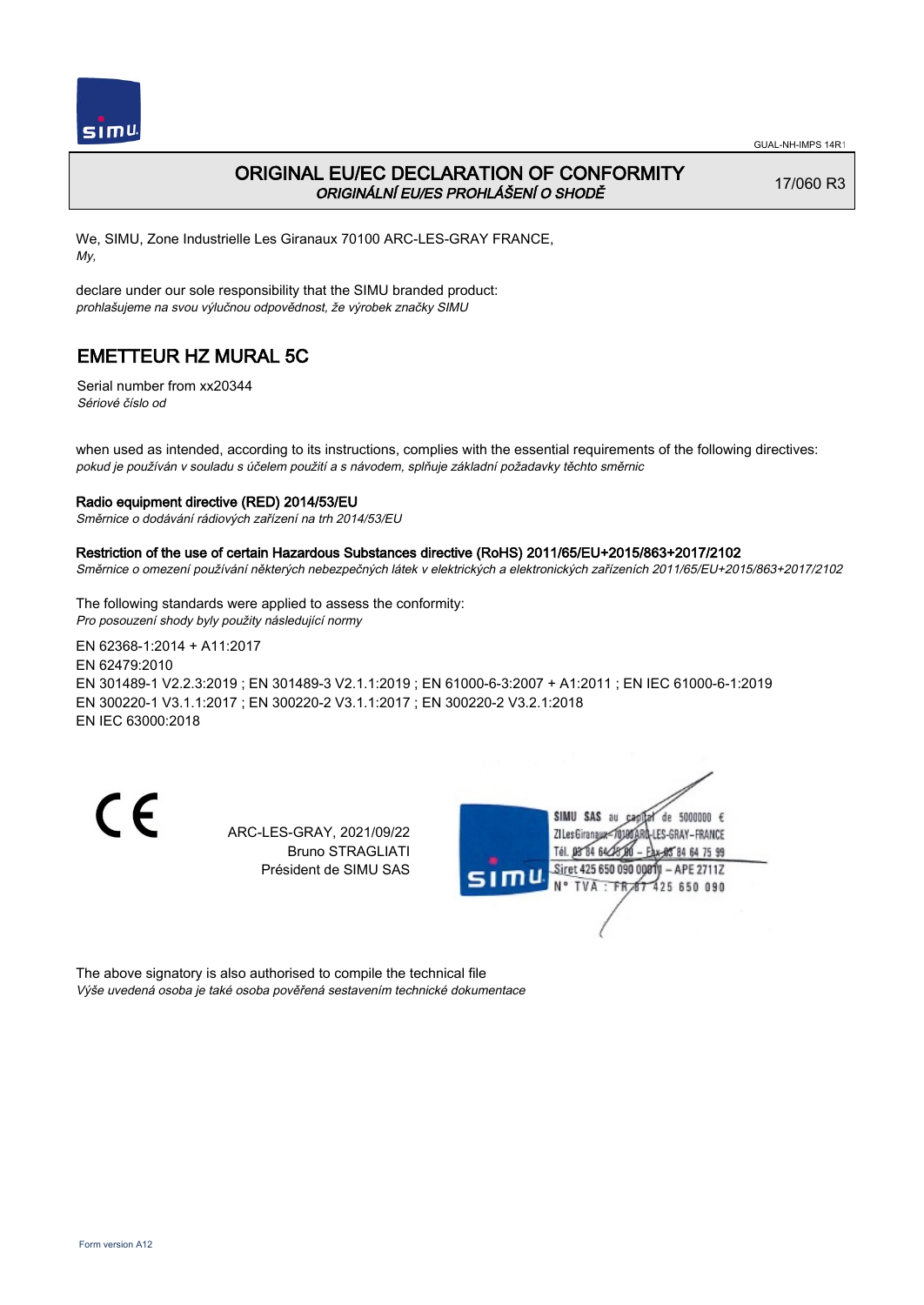

## ORIGINAL EU/EC DECLARATION OF CONFORMITY ORIGINÁLNÍ EU/ES PROHLÁŠENÍ O SHODĚ

17/060 R3

We, SIMU, Zone Industrielle Les Giranaux 70100 ARC-LES-GRAY FRANCE, My,

declare under our sole responsibility that the SIMU branded product: prohlašujeme na svou výlučnou odpovědnost, že výrobek značky SIMU

# EMETTEUR HZ MURAL 5C

Serial number from xx20344 Sériové číslo od

when used as intended, according to its instructions, complies with the essential requirements of the following directives: pokud je používán v souladu s účelem použití a s návodem, splňuje základní požadavky těchto směrnic

### Radio equipment directive (RED) 2014/53/EU

Směrnice o dodávání rádiových zařízení na trh 2014/53/EU

#### Restriction of the use of certain Hazardous Substances directive (RoHS) 2011/65/EU+2015/863+2017/2102

Směrnice o omezení používání některých nebezpečných látek v elektrických a elektronických zařízeních 2011/65/EU+2015/863+2017/2102

The following standards were applied to assess the conformity: Pro posouzení shody byly použity následující normy

EN 62368‑1:2014 + A11:2017 EN 62479:2010 EN 301489‑1 V2.2.3:2019 ; EN 301489‑3 V2.1.1:2019 ; EN 61000‑6‑3:2007 + A1:2011 ; EN IEC 61000‑6‑1:2019 EN 300220‑1 V3.1.1:2017 ; EN 300220‑2 V3.1.1:2017 ; EN 300220‑2 V3.2.1:2018 EN IEC 63000:2018

CE

ARC-LES-GRAY, 2021/09/22 Bruno STRAGLIATI Président de SIMU SAS



The above signatory is also authorised to compile the technical file Výše uvedená osoba je také osoba pověřená sestavením technické dokumentace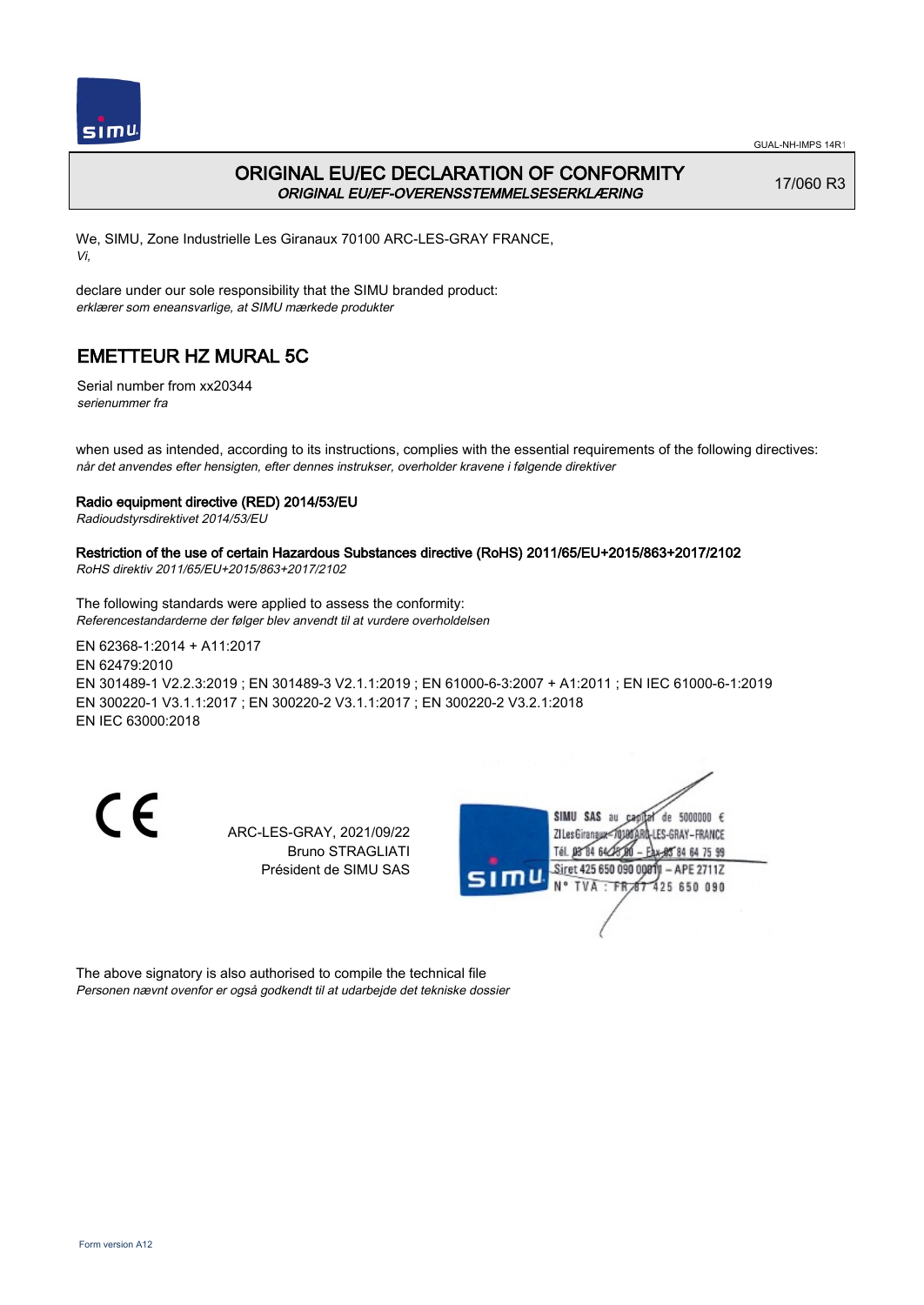

## ORIGINAL EU/EC DECLARATION OF CONFORMITY ORIGINAL EU/EF-OVERENSSTEMMELSESERKLÆRING

17/060 R3

We, SIMU, Zone Industrielle Les Giranaux 70100 ARC-LES-GRAY FRANCE, Vi,

declare under our sole responsibility that the SIMU branded product: erklærer som eneansvarlige, at SIMU mærkede produkter

# EMETTEUR HZ MURAL 5C

Serial number from xx20344 serienummer fra

when used as intended, according to its instructions, complies with the essential requirements of the following directives: når det anvendes efter hensigten, efter dennes instrukser, overholder kravene i følgende direktiver

### Radio equipment directive (RED) 2014/53/EU

Radioudstyrsdirektivet 2014/53/EU

### Restriction of the use of certain Hazardous Substances directive (RoHS) 2011/65/EU+2015/863+2017/2102

RoHS direktiv 2011/65/EU+2015/863+2017/2102

The following standards were applied to assess the conformity: Referencestandarderne der følger blev anvendt til at vurdere overholdelsen

EN 62368‑1:2014 + A11:2017 EN 62479:2010 EN 301489‑1 V2.2.3:2019 ; EN 301489‑3 V2.1.1:2019 ; EN 61000‑6‑3:2007 + A1:2011 ; EN IEC 61000‑6‑1:2019 EN 300220‑1 V3.1.1:2017 ; EN 300220‑2 V3.1.1:2017 ; EN 300220‑2 V3.2.1:2018 EN IEC 63000:2018

CE

ARC-LES-GRAY, 2021/09/22 Bruno STRAGLIATI Président de SIMU SAS



The above signatory is also authorised to compile the technical file Personen nævnt ovenfor er også godkendt til at udarbejde det tekniske dossier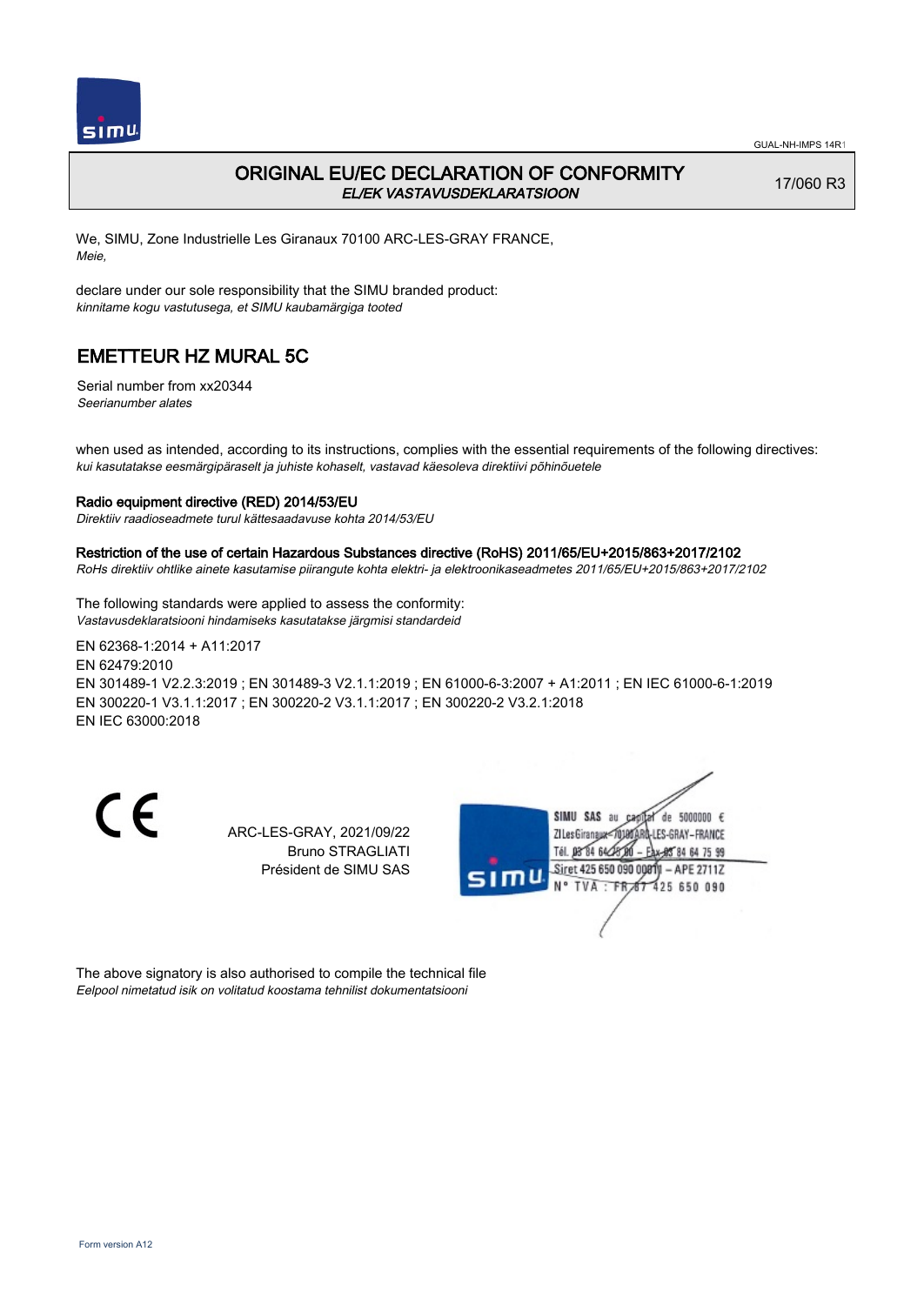

## ORIGINAL EU/EC DECLARATION OF CONFORMITY EL/EK VASTAVUSDEKLARATSIOON

17/060 R3

We, SIMU, Zone Industrielle Les Giranaux 70100 ARC-LES-GRAY FRANCE, Meie,

declare under our sole responsibility that the SIMU branded product: kinnitame kogu vastutusega, et SIMU kaubamärgiga tooted

# EMETTEUR HZ MURAL 5C

Serial number from xx20344 Seerianumber alates

when used as intended, according to its instructions, complies with the essential requirements of the following directives: kui kasutatakse eesmärgipäraselt ja juhiste kohaselt, vastavad käesoleva direktiivi põhinõuetele

### Radio equipment directive (RED) 2014/53/EU

Direktiiv raadioseadmete turul kättesaadavuse kohta 2014/53/EU

#### Restriction of the use of certain Hazardous Substances directive (RoHS) 2011/65/EU+2015/863+2017/2102

RoHs direktiiv ohtlike ainete kasutamise piirangute kohta elektri- ja elektroonikaseadmetes 2011/65/EU+2015/863+2017/2102

The following standards were applied to assess the conformity: Vastavusdeklaratsiooni hindamiseks kasutatakse järgmisi standardeid

EN 62368‑1:2014 + A11:2017 EN 62479:2010 EN 301489‑1 V2.2.3:2019 ; EN 301489‑3 V2.1.1:2019 ; EN 61000‑6‑3:2007 + A1:2011 ; EN IEC 61000‑6‑1:2019 EN 300220‑1 V3.1.1:2017 ; EN 300220‑2 V3.1.1:2017 ; EN 300220‑2 V3.2.1:2018 EN IEC 63000:2018

CE

ARC-LES-GRAY, 2021/09/22 Bruno STRAGLIATI Président de SIMU SAS



The above signatory is also authorised to compile the technical file Eelpool nimetatud isik on volitatud koostama tehnilist dokumentatsiooni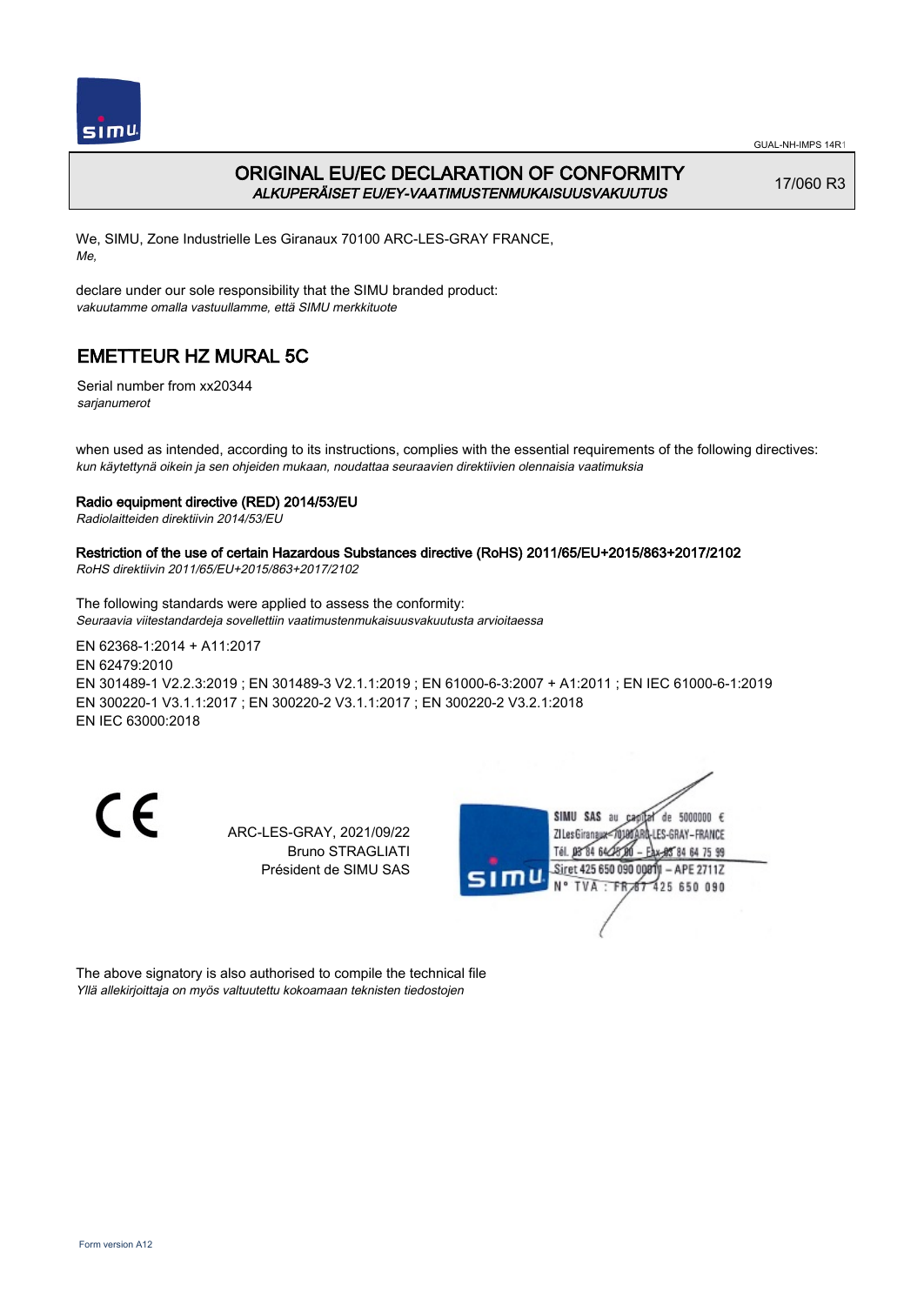

## ORIGINAL EU/EC DECLARATION OF CONFORMITY ALKUPERÄISET EU/EY-VAATIMUSTENMUKAISUUSVAKUUTUS

17/060 R3

We, SIMU, Zone Industrielle Les Giranaux 70100 ARC-LES-GRAY FRANCE, Me,

declare under our sole responsibility that the SIMU branded product: vakuutamme omalla vastuullamme, että SIMU merkkituote

# EMETTEUR HZ MURAL 5C

Serial number from xx20344 sarjanumerot

when used as intended, according to its instructions, complies with the essential requirements of the following directives: kun käytettynä oikein ja sen ohjeiden mukaan, noudattaa seuraavien direktiivien olennaisia vaatimuksia

### Radio equipment directive (RED) 2014/53/EU

Radiolaitteiden direktiivin 2014/53/EU

## Restriction of the use of certain Hazardous Substances directive (RoHS) 2011/65/EU+2015/863+2017/2102

RoHS direktiivin 2011/65/EU+2015/863+2017/2102

The following standards were applied to assess the conformity: Seuraavia viitestandardeja sovellettiin vaatimustenmukaisuusvakuutusta arvioitaessa

EN 62368‑1:2014 + A11:2017 EN 62479:2010 EN 301489‑1 V2.2.3:2019 ; EN 301489‑3 V2.1.1:2019 ; EN 61000‑6‑3:2007 + A1:2011 ; EN IEC 61000‑6‑1:2019 EN 300220‑1 V3.1.1:2017 ; EN 300220‑2 V3.1.1:2017 ; EN 300220‑2 V3.2.1:2018 EN IEC 63000:2018

CE

ARC-LES-GRAY, 2021/09/22 Bruno STRAGLIATI Président de SIMU SAS



The above signatory is also authorised to compile the technical file Yllä allekirjoittaja on myös valtuutettu kokoamaan teknisten tiedostojen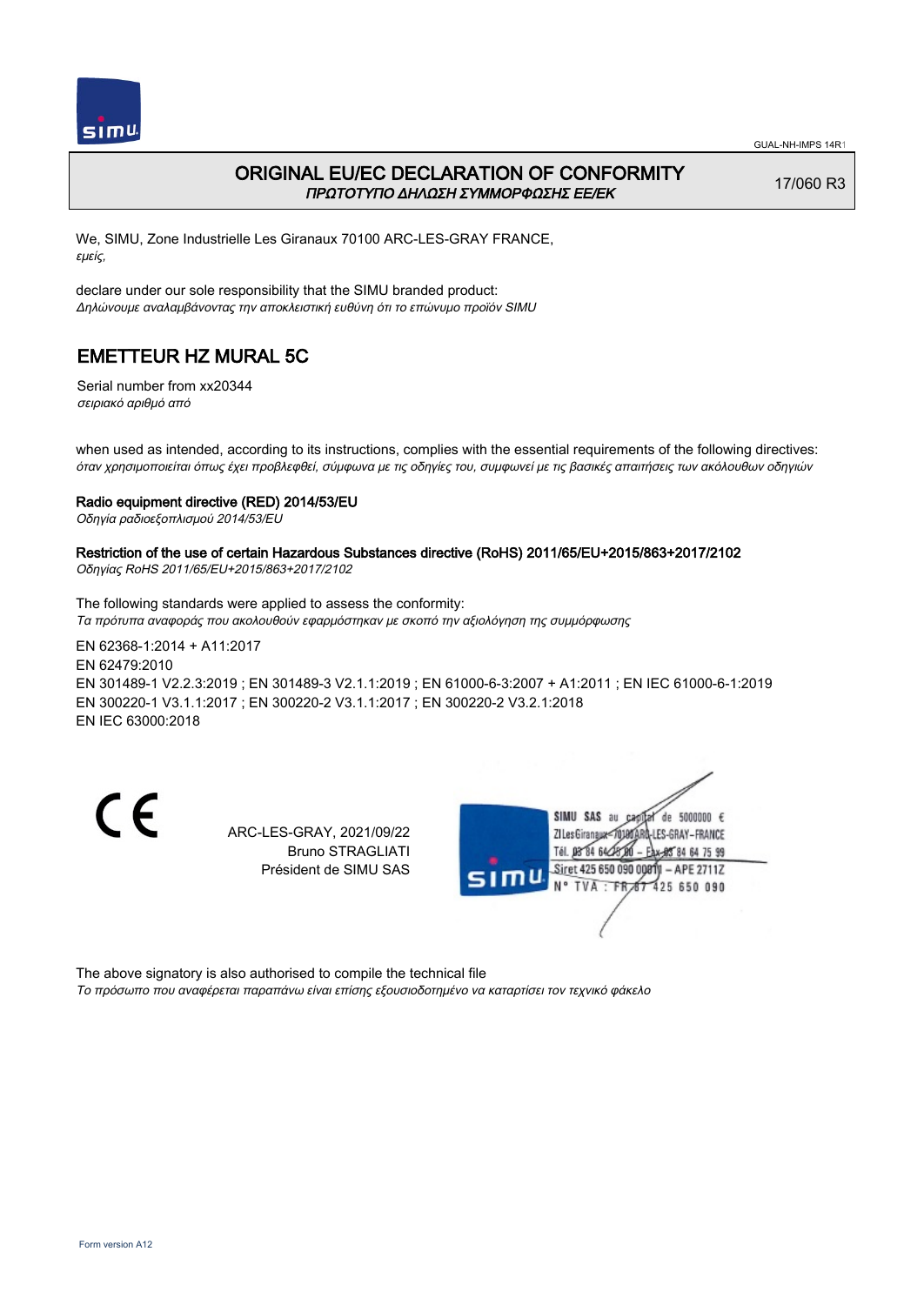

## ORIGINAL EU/EC DECLARATION OF CONFORMITY ΠΡΩΤΟΤΥΠΟ ΔΗΛΩΣΗ ΣΥΜΜΟΡΦΩΣΗΣ ΕΕ/EK

17/060 R3

We, SIMU, Zone Industrielle Les Giranaux 70100 ARC-LES-GRAY FRANCE, εμείς,

declare under our sole responsibility that the SIMU branded product: Δηλώνουμε αναλαμβάνοντας την αποκλειστική ευθύνη ότι το επώνυμο προϊόν SIMU

# EMETTEUR HZ MURAL 5C

Serial number from xx20344 σειριακό αριθμό από

when used as intended, according to its instructions, complies with the essential requirements of the following directives: όταν χρησιμοποιείται όπως έχει προβλεφθεί, σύμφωνα με τις οδηγίες του, συμφωνεί με τις βασικές απαιτήσεις των ακόλουθων οδηγιών

### Radio equipment directive (RED) 2014/53/EU

Οδηγία ραδιοεξοπλισμού 2014/53/EU

# Restriction of the use of certain Hazardous Substances directive (RoHS) 2011/65/EU+2015/863+2017/2102

Οδηγίας RoHS 2011/65/EU+2015/863+2017/2102

The following standards were applied to assess the conformity: Τα πρότυπα αναφοράς που ακολουθούν εφαρμόστηκαν με σκοπό την αξιολόγηση της συμμόρφωσης

EN 62368‑1:2014 + A11:2017 EN 62479:2010 EN 301489‑1 V2.2.3:2019 ; EN 301489‑3 V2.1.1:2019 ; EN 61000‑6‑3:2007 + A1:2011 ; EN IEC 61000‑6‑1:2019 EN 300220‑1 V3.1.1:2017 ; EN 300220‑2 V3.1.1:2017 ; EN 300220‑2 V3.2.1:2018 EN IEC 63000:2018

CE

ARC-LES-GRAY, 2021/09/22 Bruno STRAGLIATI Président de SIMU SAS



The above signatory is also authorised to compile the technical file Το πρόσωπο που αναφέρεται παραπάνω είναι επίσης εξουσιοδοτημένο να καταρτίσει τον τεχνικό φάκελο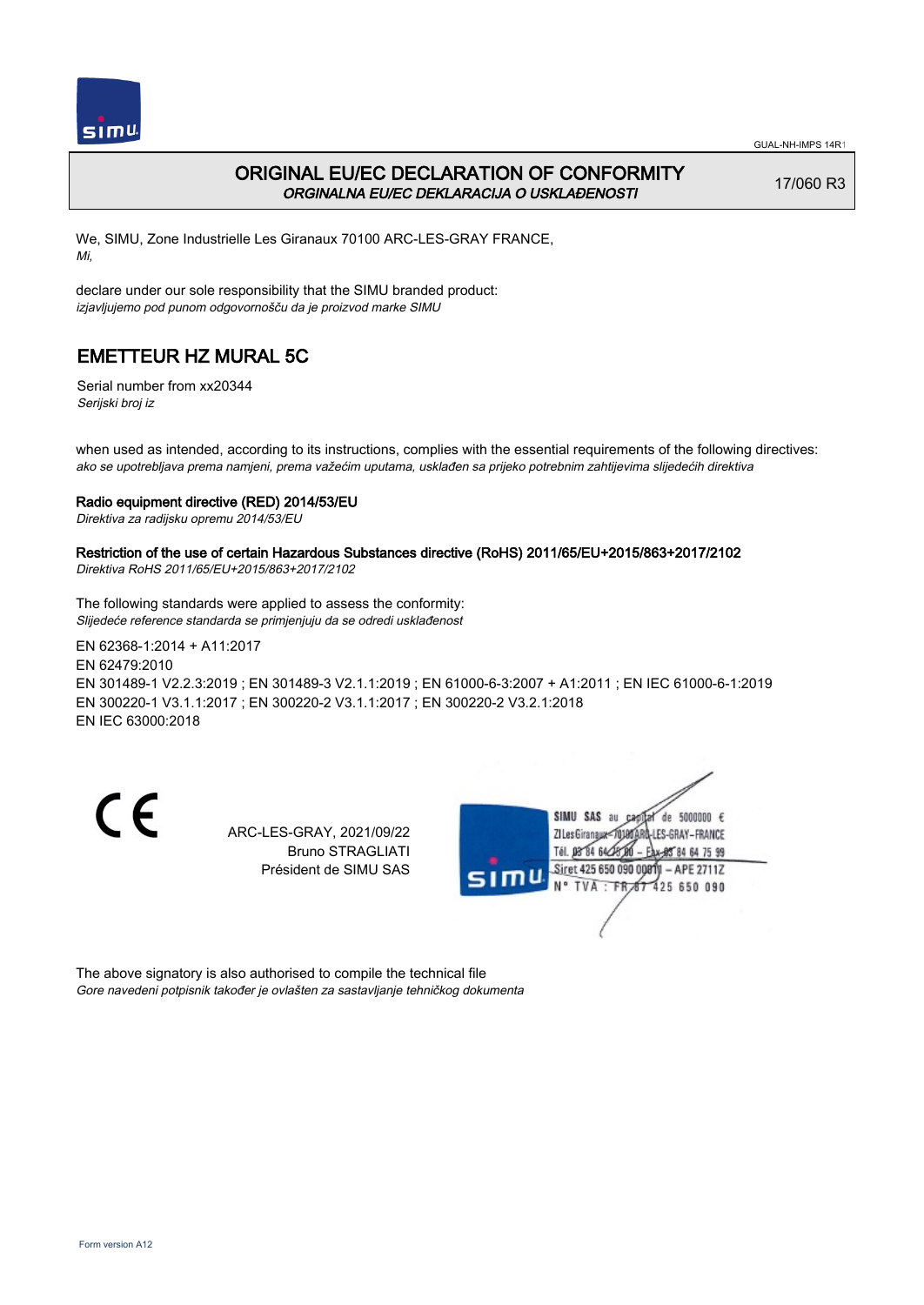

## ORIGINAL EU/EC DECLARATION OF CONFORMITY ORGINALNA EU/EC DEKLARACIJA O USKLAĐENOSTI

17/060 R3

We, SIMU, Zone Industrielle Les Giranaux 70100 ARC-LES-GRAY FRANCE, Mi,

declare under our sole responsibility that the SIMU branded product: izjavljujemo pod punom odgovornošču da je proizvod marke SIMU

# EMETTEUR HZ MURAL 5C

Serial number from xx20344 Serijski broj iz

when used as intended, according to its instructions, complies with the essential requirements of the following directives: ako se upotrebljava prema namjeni, prema važećim uputama, usklađen sa prijeko potrebnim zahtijevima slijedećih direktiva

### Radio equipment directive (RED) 2014/53/EU

Direktiva za radijsku opremu 2014/53/EU

## Restriction of the use of certain Hazardous Substances directive (RoHS) 2011/65/EU+2015/863+2017/2102

Direktiva RoHS 2011/65/EU+2015/863+2017/2102

The following standards were applied to assess the conformity: Slijedeće reference standarda se primjenjuju da se odredi usklađenost

EN 62368‑1:2014 + A11:2017 EN 62479:2010 EN 301489‑1 V2.2.3:2019 ; EN 301489‑3 V2.1.1:2019 ; EN 61000‑6‑3:2007 + A1:2011 ; EN IEC 61000‑6‑1:2019 EN 300220‑1 V3.1.1:2017 ; EN 300220‑2 V3.1.1:2017 ; EN 300220‑2 V3.2.1:2018 EN IEC 63000:2018

CE

ARC-LES-GRAY, 2021/09/22 Bruno STRAGLIATI Président de SIMU SAS



The above signatory is also authorised to compile the technical file Gore navedeni potpisnik također je ovlašten za sastavljanje tehničkog dokumenta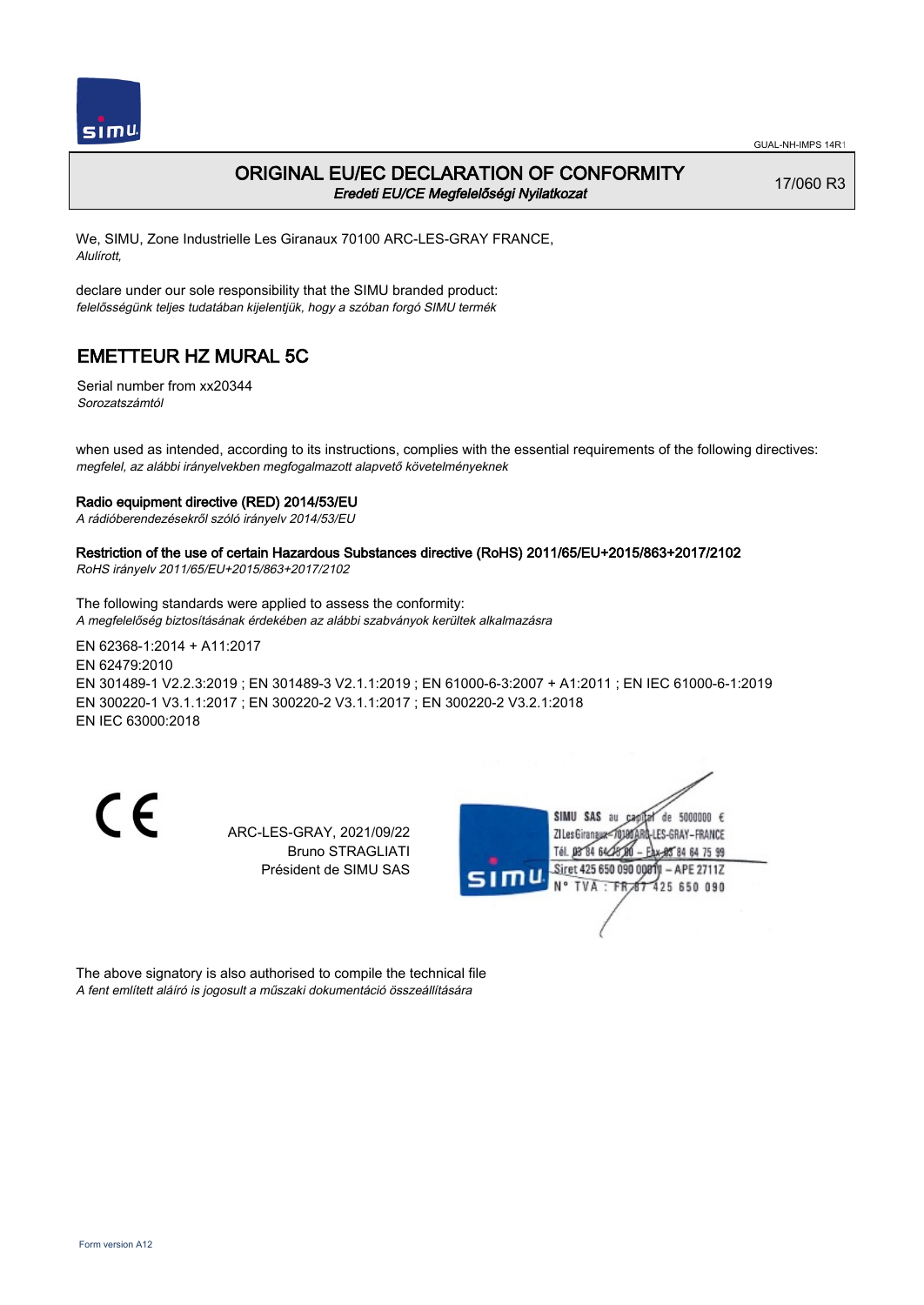

### ORIGINAL EU/EC DECLARATION OF CONFORMITY Eredeti EU/CE Megfelelőségi Nyilatkozat

17/060 R3

We, SIMU, Zone Industrielle Les Giranaux 70100 ARC-LES-GRAY FRANCE, Alulírott,

declare under our sole responsibility that the SIMU branded product: felelősségünk teljes tudatában kijelentjük, hogy a szóban forgó SIMU termék

# EMETTEUR HZ MURAL 5C

Serial number from xx20344 Sorozatszámtól

when used as intended, according to its instructions, complies with the essential requirements of the following directives: megfelel, az alábbi irányelvekben megfogalmazott alapvető követelményeknek

#### Radio equipment directive (RED) 2014/53/EU

A rádióberendezésekről szóló irányelv 2014/53/EU

### Restriction of the use of certain Hazardous Substances directive (RoHS) 2011/65/EU+2015/863+2017/2102

RoHS irányelv 2011/65/EU+2015/863+2017/2102

The following standards were applied to assess the conformity: A megfelelőség biztosításának érdekében az alábbi szabványok kerültek alkalmazásra

EN 62368‑1:2014 + A11:2017 EN 62479:2010 EN 301489‑1 V2.2.3:2019 ; EN 301489‑3 V2.1.1:2019 ; EN 61000‑6‑3:2007 + A1:2011 ; EN IEC 61000‑6‑1:2019 EN 300220‑1 V3.1.1:2017 ; EN 300220‑2 V3.1.1:2017 ; EN 300220‑2 V3.2.1:2018 EN IEC 63000:2018

CE

ARC-LES-GRAY, 2021/09/22 Bruno STRAGLIATI Président de SIMU SAS



The above signatory is also authorised to compile the technical file A fent említett aláíró is jogosult a műszaki dokumentáció összeállítására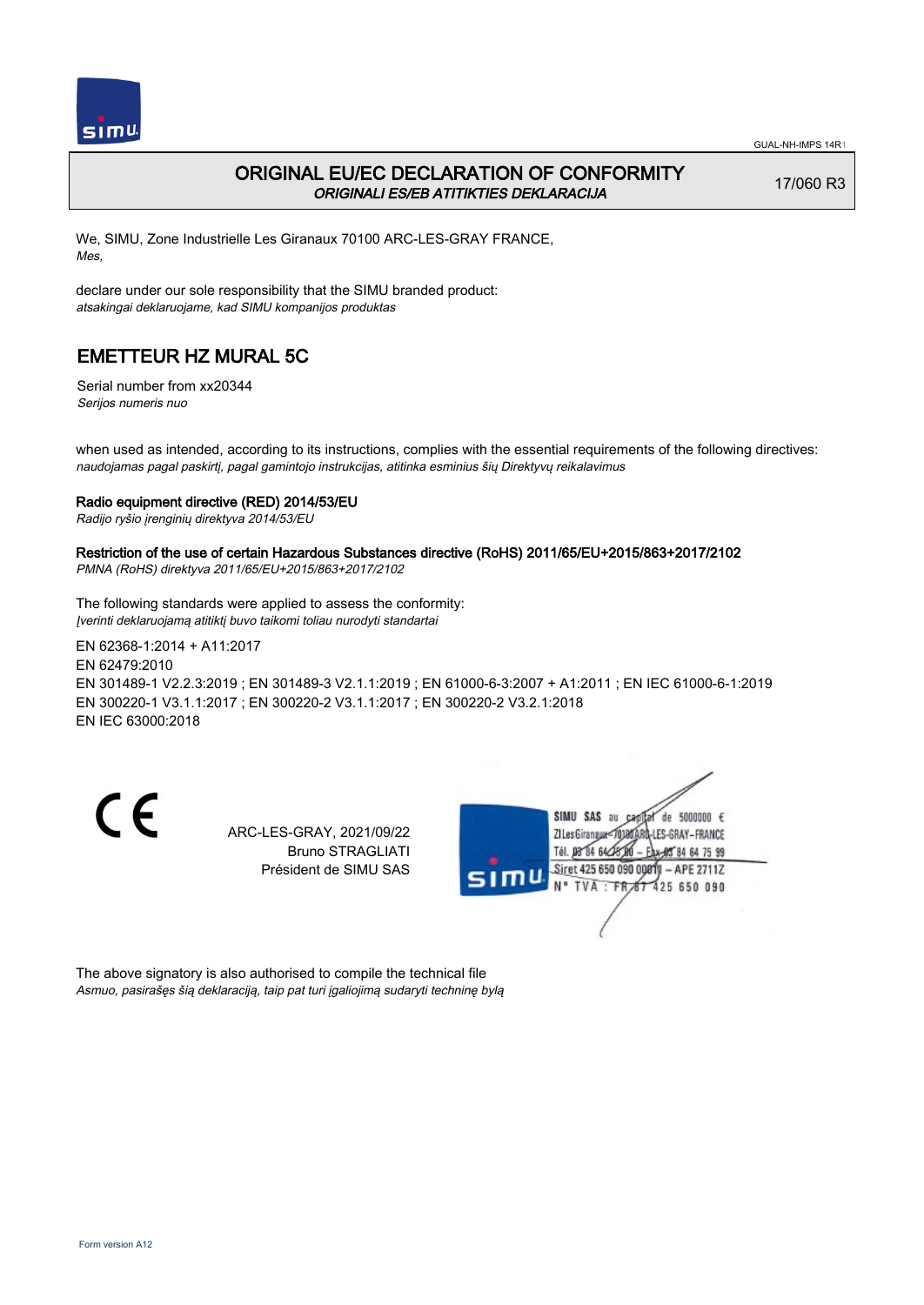

## ORIGINAL EU/EC DECLARATION OF CONFORMITY ORIGINALI ES/EB ATITIKTIES DEKLARACIJA

17/060 R3

We, SIMU, Zone Industrielle Les Giranaux 70100 ARC-LES-GRAY FRANCE, Mes,

declare under our sole responsibility that the SIMU branded product: atsakingai deklaruojame, kad SIMU kompanijos produktas

## EMETTEUR HZ MURAL 5C

Serial number from xx20344 Serijos numeris nuo

when used as intended, according to its instructions, complies with the essential requirements of the following directives: naudojamas pagal paskirtį, pagal gamintojo instrukcijas, atitinka esminius šių Direktyvų reikalavimus

### Radio equipment directive (RED) 2014/53/EU

Radijo ryšio įrenginių direktyva 2014/53/EU

## Restriction of the use of certain Hazardous Substances directive (RoHS) 2011/65/EU+2015/863+2017/2102

PMNA (RoHS) direktyva 2011/65/EU+2015/863+2017/2102

The following standards were applied to assess the conformity: Įverinti deklaruojamą atitiktį buvo taikomi toliau nurodyti standartai

EN 62368‑1:2014 + A11:2017 EN 62479:2010 EN 301489‑1 V2.2.3:2019 ; EN 301489‑3 V2.1.1:2019 ; EN 61000‑6‑3:2007 + A1:2011 ; EN IEC 61000‑6‑1:2019 EN 300220‑1 V3.1.1:2017 ; EN 300220‑2 V3.1.1:2017 ; EN 300220‑2 V3.2.1:2018 EN IEC 63000:2018

CE

ARC-LES-GRAY, 2021/09/22 Bruno STRAGLIATI Président de SIMU SAS



The above signatory is also authorised to compile the technical file Asmuo, pasirašęs šią deklaraciją, taip pat turi įgaliojimą sudaryti techninę bylą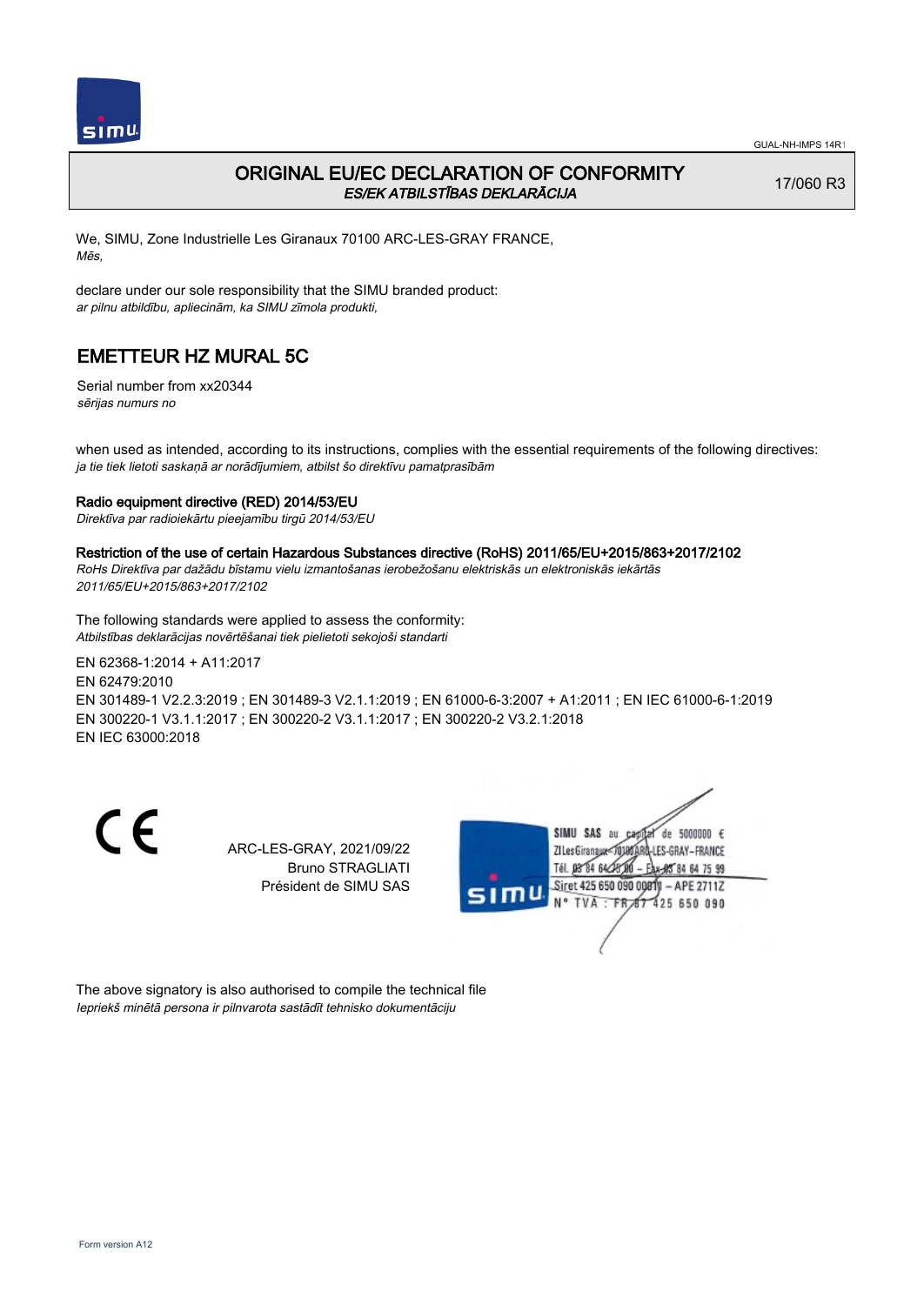

## ORIGINAL EU/EC DECLARATION OF CONFORMITY ES/EK ATBILSTĪBAS DEKLARĀCIJA

17/060 R3

We, SIMU, Zone Industrielle Les Giranaux 70100 ARC-LES-GRAY FRANCE, Mēs,

declare under our sole responsibility that the SIMU branded product: ar pilnu atbildību, apliecinām, ka SIMU zīmola produkti,

# EMETTEUR HZ MURAL 5C

Serial number from xx20344 sērijas numurs no

when used as intended, according to its instructions, complies with the essential requirements of the following directives: ja tie tiek lietoti saskaņā ar norādījumiem, atbilst šo direktīvu pamatprasībām

### Radio equipment directive (RED) 2014/53/EU

Direktīva par radioiekārtu pieejamību tirgū 2014/53/EU

#### Restriction of the use of certain Hazardous Substances directive (RoHS) 2011/65/EU+2015/863+2017/2102

RoHs Direktīva par dažādu bīstamu vielu izmantošanas ierobežošanu elektriskās un elektroniskās iekārtās 2011/65/EU+2015/863+2017/2102

The following standards were applied to assess the conformity: Atbilstības deklarācijas novērtēšanai tiek pielietoti sekojoši standarti

EN 62368‑1:2014 + A11:2017 EN 62479:2010 EN 301489‑1 V2.2.3:2019 ; EN 301489‑3 V2.1.1:2019 ; EN 61000‑6‑3:2007 + A1:2011 ; EN IEC 61000‑6‑1:2019 EN 300220‑1 V3.1.1:2017 ; EN 300220‑2 V3.1.1:2017 ; EN 300220‑2 V3.2.1:2018 EN IEC 63000:2018

CE

ARC-LES-GRAY, 2021/09/22 Bruno STRAGLIATI Président de SIMU SAS



The above signatory is also authorised to compile the technical file Iepriekš minētā persona ir pilnvarota sastādīt tehnisko dokumentāciju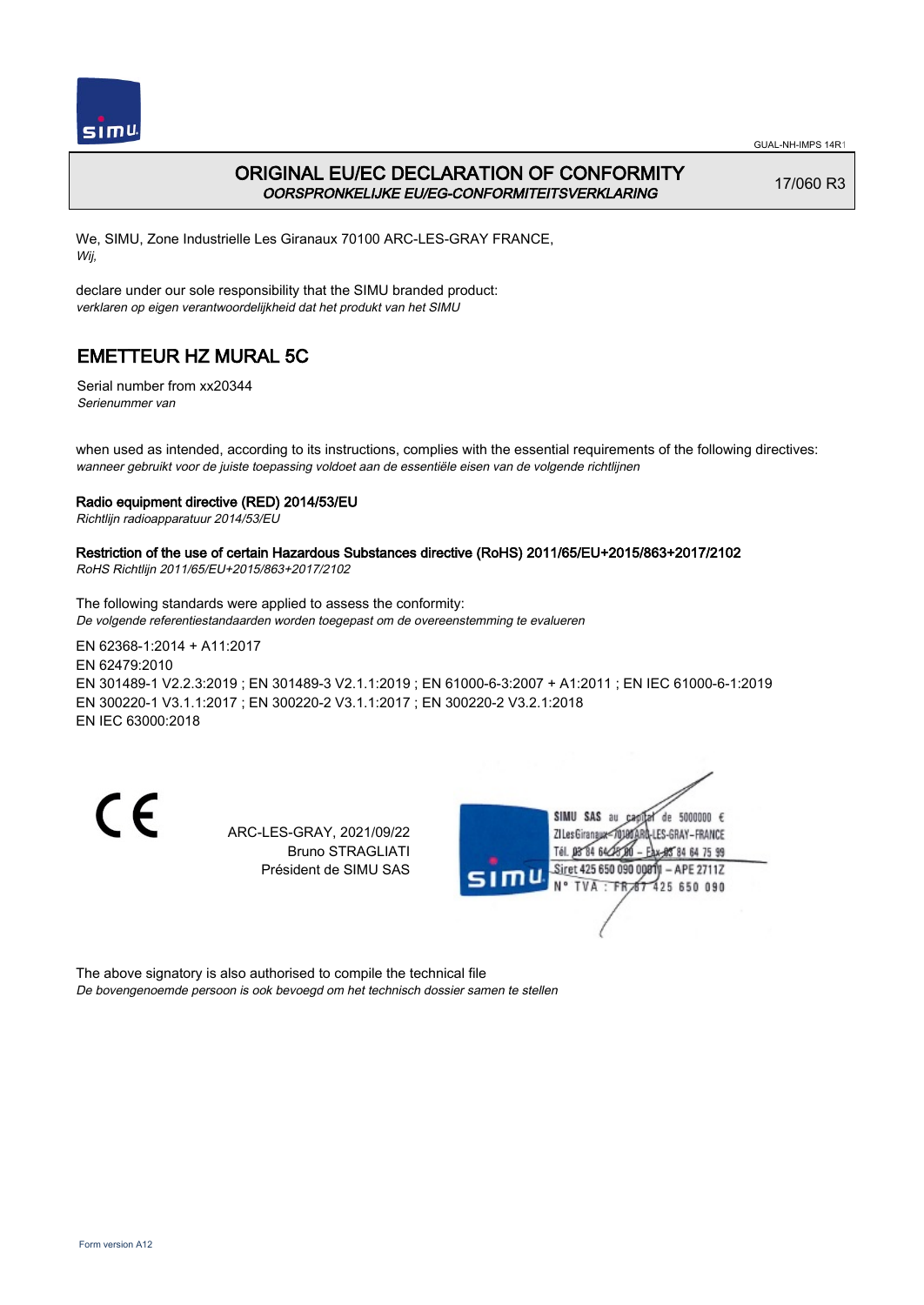

## ORIGINAL EU/EC DECLARATION OF CONFORMITY OORSPRONKELIJKE EU/EG-CONFORMITEITSVERKLARING

17/060 R3

We, SIMU, Zone Industrielle Les Giranaux 70100 ARC-LES-GRAY FRANCE, Wij,

declare under our sole responsibility that the SIMU branded product: verklaren op eigen verantwoordelijkheid dat het produkt van het SIMU

# EMETTEUR HZ MURAL 5C

Serial number from xx20344 Serienummer van

when used as intended, according to its instructions, complies with the essential requirements of the following directives: wanneer gebruikt voor de juiste toepassing voldoet aan de essentiële eisen van de volgende richtlijnen

### Radio equipment directive (RED) 2014/53/EU

Richtlijn radioapparatuur 2014/53/EU

## Restriction of the use of certain Hazardous Substances directive (RoHS) 2011/65/EU+2015/863+2017/2102

RoHS Richtlijn 2011/65/EU+2015/863+2017/2102

The following standards were applied to assess the conformity: De volgende referentiestandaarden worden toegepast om de overeenstemming te evalueren

EN 62368‑1:2014 + A11:2017 EN 62479:2010 EN 301489‑1 V2.2.3:2019 ; EN 301489‑3 V2.1.1:2019 ; EN 61000‑6‑3:2007 + A1:2011 ; EN IEC 61000‑6‑1:2019 EN 300220‑1 V3.1.1:2017 ; EN 300220‑2 V3.1.1:2017 ; EN 300220‑2 V3.2.1:2018 EN IEC 63000:2018

CE

ARC-LES-GRAY, 2021/09/22 Bruno STRAGLIATI Président de SIMU SAS



The above signatory is also authorised to compile the technical file De bovengenoemde persoon is ook bevoegd om het technisch dossier samen te stellen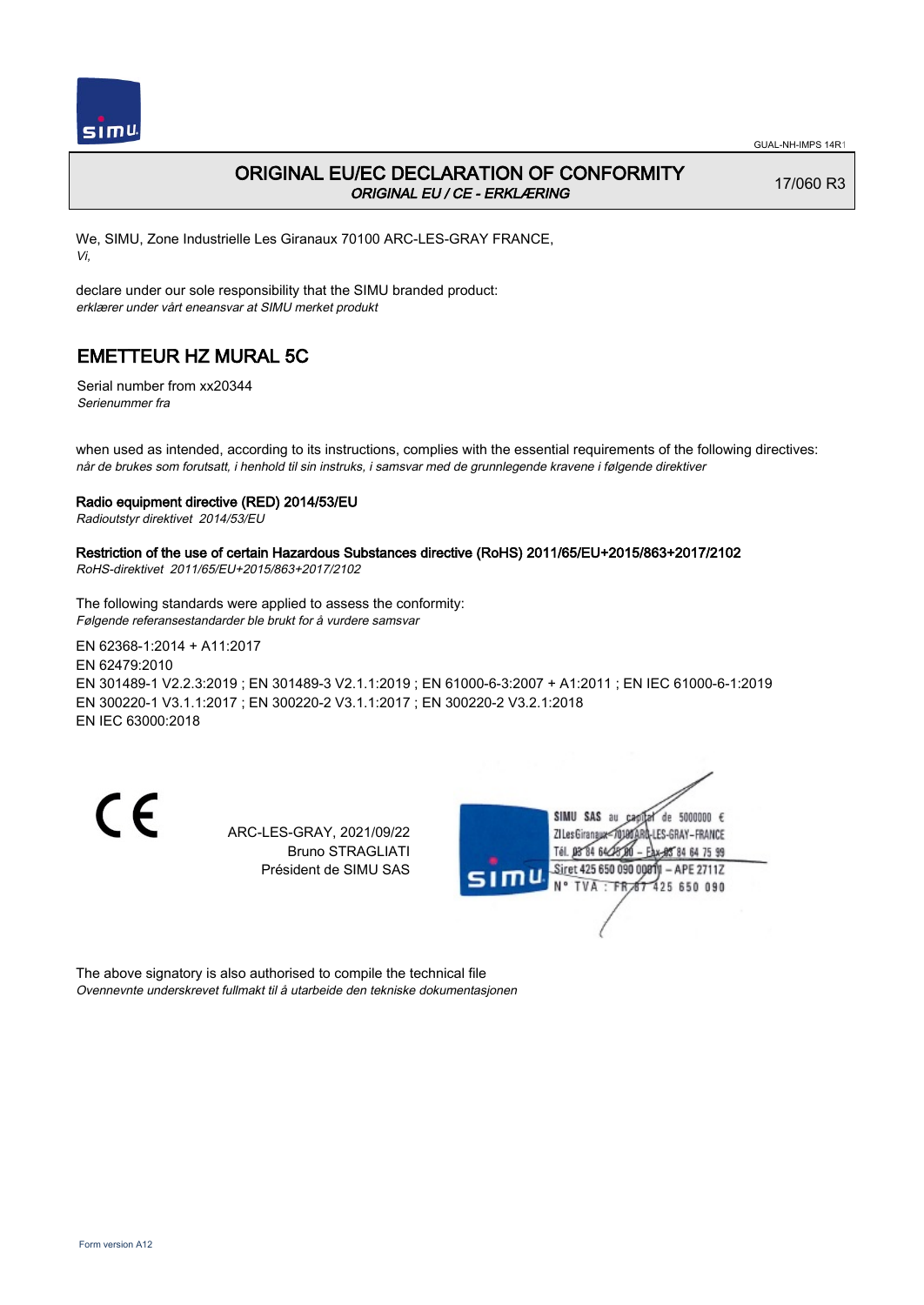

## ORIGINAL EU/EC DECLARATION OF CONFORMITY ORIGINAL EU / CE - ERKLÆRING

17/060 R3

We, SIMU, Zone Industrielle Les Giranaux 70100 ARC-LES-GRAY FRANCE, Vi,

declare under our sole responsibility that the SIMU branded product: erklærer under vårt eneansvar at SIMU merket produkt

# EMETTEUR HZ MURAL 5C

Serial number from xx20344 Serienummer fra

when used as intended, according to its instructions, complies with the essential requirements of the following directives: når de brukes som forutsatt, i henhold til sin instruks, i samsvar med de grunnlegende kravene i følgende direktiver

### Radio equipment directive (RED) 2014/53/EU

Radioutstyr direktivet 2014/53/EU

# Restriction of the use of certain Hazardous Substances directive (RoHS) 2011/65/EU+2015/863+2017/2102

RoHS-direktivet 2011/65/EU+2015/863+2017/2102

The following standards were applied to assess the conformity: Følgende referansestandarder ble brukt for å vurdere samsvar

EN 62368‑1:2014 + A11:2017 EN 62479:2010 EN 301489‑1 V2.2.3:2019 ; EN 301489‑3 V2.1.1:2019 ; EN 61000‑6‑3:2007 + A1:2011 ; EN IEC 61000‑6‑1:2019 EN 300220‑1 V3.1.1:2017 ; EN 300220‑2 V3.1.1:2017 ; EN 300220‑2 V3.2.1:2018 EN IEC 63000:2018

CE

ARC-LES-GRAY, 2021/09/22 Bruno STRAGLIATI Président de SIMU SAS



The above signatory is also authorised to compile the technical file Ovennevnte underskrevet fullmakt til å utarbeide den tekniske dokumentasjonen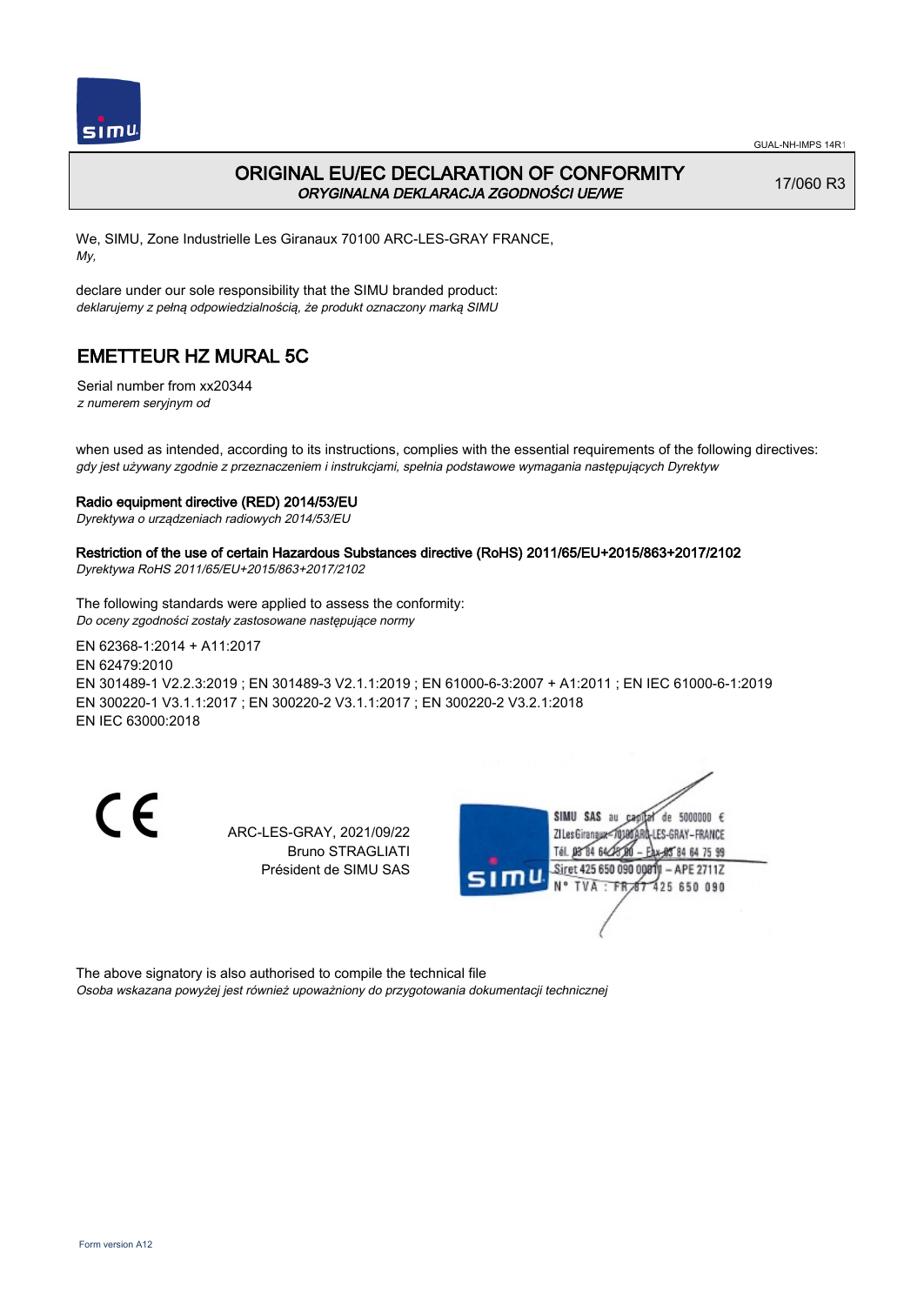

## ORIGINAL EU/EC DECLARATION OF CONFORMITY ORYGINALNA DEKLARACJA ZGODNOŚCI UE/WE

17/060 R3

We, SIMU, Zone Industrielle Les Giranaux 70100 ARC-LES-GRAY FRANCE, My,

declare under our sole responsibility that the SIMU branded product: deklarujemy z pełną odpowiedzialnością, że produkt oznaczony marką SIMU

# EMETTEUR HZ MURAL 5C

Serial number from xx20344 z numerem seryjnym od

when used as intended, according to its instructions, complies with the essential requirements of the following directives: gdy jest używany zgodnie z przeznaczeniem i instrukcjami, spełnia podstawowe wymagania następujących Dyrektyw

### Radio equipment directive (RED) 2014/53/EU

Dyrektywa o urządzeniach radiowych 2014/53/EU

### Restriction of the use of certain Hazardous Substances directive (RoHS) 2011/65/EU+2015/863+2017/2102

Dyrektywa RoHS 2011/65/EU+2015/863+2017/2102

The following standards were applied to assess the conformity: Do oceny zgodności zostały zastosowane następujące normy

EN 62368‑1:2014 + A11:2017 EN 62479:2010 EN 301489‑1 V2.2.3:2019 ; EN 301489‑3 V2.1.1:2019 ; EN 61000‑6‑3:2007 + A1:2011 ; EN IEC 61000‑6‑1:2019 EN 300220‑1 V3.1.1:2017 ; EN 300220‑2 V3.1.1:2017 ; EN 300220‑2 V3.2.1:2018 EN IEC 63000:2018

CE

ARC-LES-GRAY, 2021/09/22 Bruno STRAGLIATI Président de SIMU SAS



The above signatory is also authorised to compile the technical file Osoba wskazana powyżej jest również upoważniony do przygotowania dokumentacji technicznej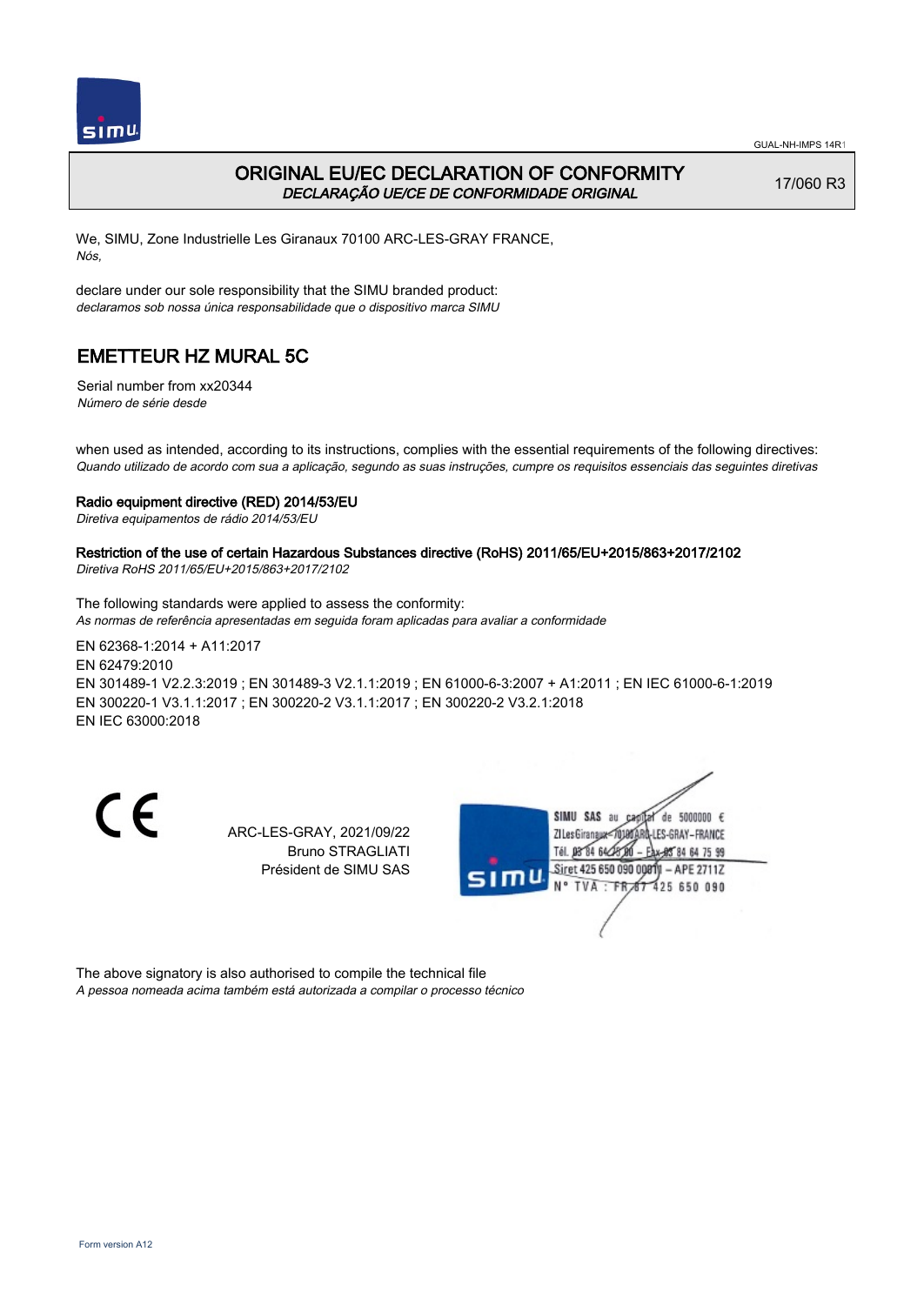

## ORIGINAL EU/EC DECLARATION OF CONFORMITY DECLARAÇÃO UE/CE DE CONFORMIDADE ORIGINAL

17/060 R3

We, SIMU, Zone Industrielle Les Giranaux 70100 ARC-LES-GRAY FRANCE, Nós,

declare under our sole responsibility that the SIMU branded product: declaramos sob nossa única responsabilidade que o dispositivo marca SIMU

# EMETTEUR HZ MURAL 5C

Serial number from xx20344 Número de série desde

when used as intended, according to its instructions, complies with the essential requirements of the following directives: Quando utilizado de acordo com sua a aplicação, segundo as suas instruções, cumpre os requisitos essenciais das seguintes diretivas

### Radio equipment directive (RED) 2014/53/EU

Diretiva equipamentos de rádio 2014/53/EU

### Restriction of the use of certain Hazardous Substances directive (RoHS) 2011/65/EU+2015/863+2017/2102

Diretiva RoHS 2011/65/EU+2015/863+2017/2102

The following standards were applied to assess the conformity: As normas de referência apresentadas em seguida foram aplicadas para avaliar a conformidade

EN 62368‑1:2014 + A11:2017 EN 62479:2010 EN 301489‑1 V2.2.3:2019 ; EN 301489‑3 V2.1.1:2019 ; EN 61000‑6‑3:2007 + A1:2011 ; EN IEC 61000‑6‑1:2019 EN 300220‑1 V3.1.1:2017 ; EN 300220‑2 V3.1.1:2017 ; EN 300220‑2 V3.2.1:2018 EN IEC 63000:2018

CE

ARC-LES-GRAY, 2021/09/22 Bruno STRAGLIATI Président de SIMU SAS



The above signatory is also authorised to compile the technical file A pessoa nomeada acima também está autorizada a compilar o processo técnico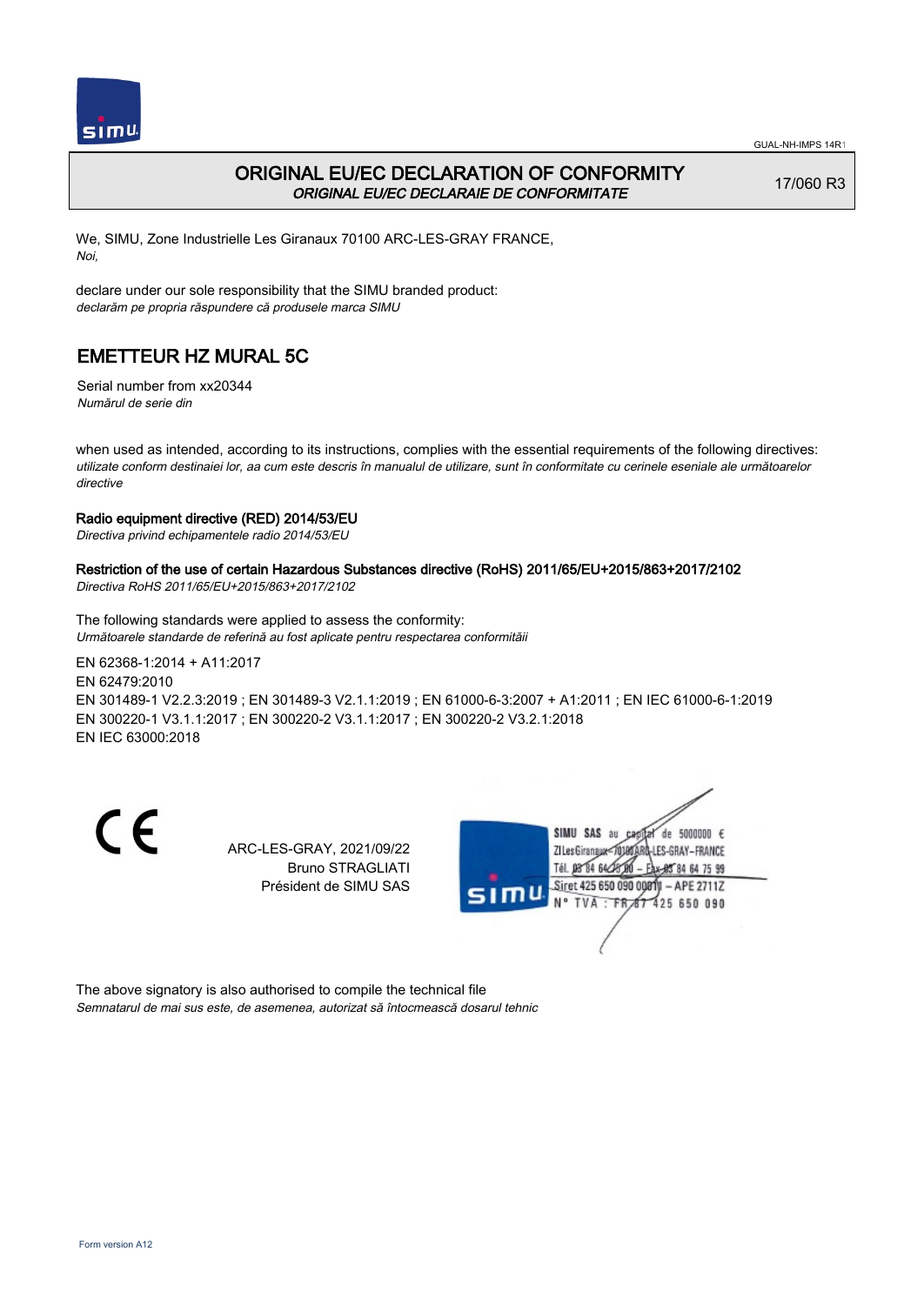

## ORIGINAL EU/EC DECLARATION OF CONFORMITY ORIGINAL EU/EC DECLARAIE DE CONFORMITATE

17/060 R3

We, SIMU, Zone Industrielle Les Giranaux 70100 ARC-LES-GRAY FRANCE, Noi,

declare under our sole responsibility that the SIMU branded product: declarăm pe propria răspundere că produsele marca SIMU

# EMETTEUR HZ MURAL 5C

Serial number from xx20344 Numărul de serie din

when used as intended, according to its instructions, complies with the essential requirements of the following directives: utilizate conform destinaiei lor, aa cum este descris în manualul de utilizare, sunt în conformitate cu cerinele eseniale ale următoarelor directive

### Radio equipment directive (RED) 2014/53/EU

Directiva privind echipamentele radio 2014/53/EU

### Restriction of the use of certain Hazardous Substances directive (RoHS) 2011/65/EU+2015/863+2017/2102

Directiva RoHS 2011/65/EU+2015/863+2017/2102

The following standards were applied to assess the conformity: Următoarele standarde de referină au fost aplicate pentru respectarea conformităii

EN 62368‑1:2014 + A11:2017 EN 62479:2010 EN 301489‑1 V2.2.3:2019 ; EN 301489‑3 V2.1.1:2019 ; EN 61000‑6‑3:2007 + A1:2011 ; EN IEC 61000‑6‑1:2019 EN 300220‑1 V3.1.1:2017 ; EN 300220‑2 V3.1.1:2017 ; EN 300220‑2 V3.2.1:2018 EN IEC 63000:2018

CE

ARC-LES-GRAY, 2021/09/22 Bruno STRAGLIATI Président de SIMU SAS



The above signatory is also authorised to compile the technical file Semnatarul de mai sus este, de asemenea, autorizat să întocmească dosarul tehnic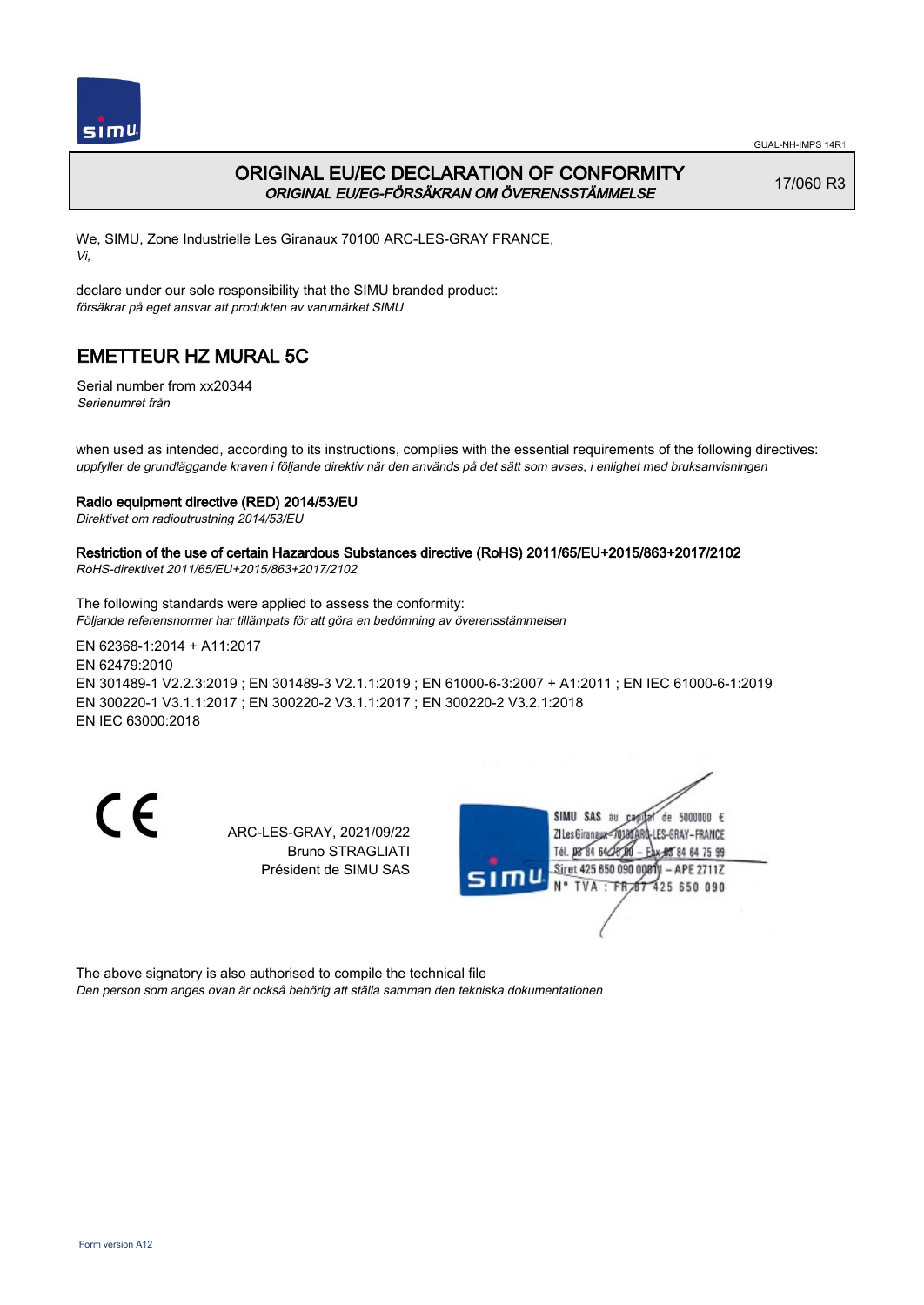

## ORIGINAL EU/EC DECLARATION OF CONFORMITY ORIGINAL EU/EG-FÖRSÄKRAN OM ÖVERENSSTÄMMELSE

17/060 R3

We, SIMU, Zone Industrielle Les Giranaux 70100 ARC-LES-GRAY FRANCE, Vi,

declare under our sole responsibility that the SIMU branded product: försäkrar på eget ansvar att produkten av varumärket SIMU

# EMETTEUR HZ MURAL 5C

Serial number from xx20344 Serienumret från

when used as intended, according to its instructions, complies with the essential requirements of the following directives: uppfyller de grundläggande kraven i följande direktiv när den används på det sätt som avses, i enlighet med bruksanvisningen

### Radio equipment directive (RED) 2014/53/EU

Direktivet om radioutrustning 2014/53/EU

## Restriction of the use of certain Hazardous Substances directive (RoHS) 2011/65/EU+2015/863+2017/2102

RoHS-direktivet 2011/65/EU+2015/863+2017/2102

The following standards were applied to assess the conformity: Följande referensnormer har tillämpats för att göra en bedömning av överensstämmelsen

EN 62368‑1:2014 + A11:2017 EN 62479:2010 EN 301489‑1 V2.2.3:2019 ; EN 301489‑3 V2.1.1:2019 ; EN 61000‑6‑3:2007 + A1:2011 ; EN IEC 61000‑6‑1:2019 EN 300220‑1 V3.1.1:2017 ; EN 300220‑2 V3.1.1:2017 ; EN 300220‑2 V3.2.1:2018 EN IEC 63000:2018

CE

ARC-LES-GRAY, 2021/09/22 Bruno STRAGLIATI Président de SIMU SAS



The above signatory is also authorised to compile the technical file Den person som anges ovan är också behörig att ställa samman den tekniska dokumentationen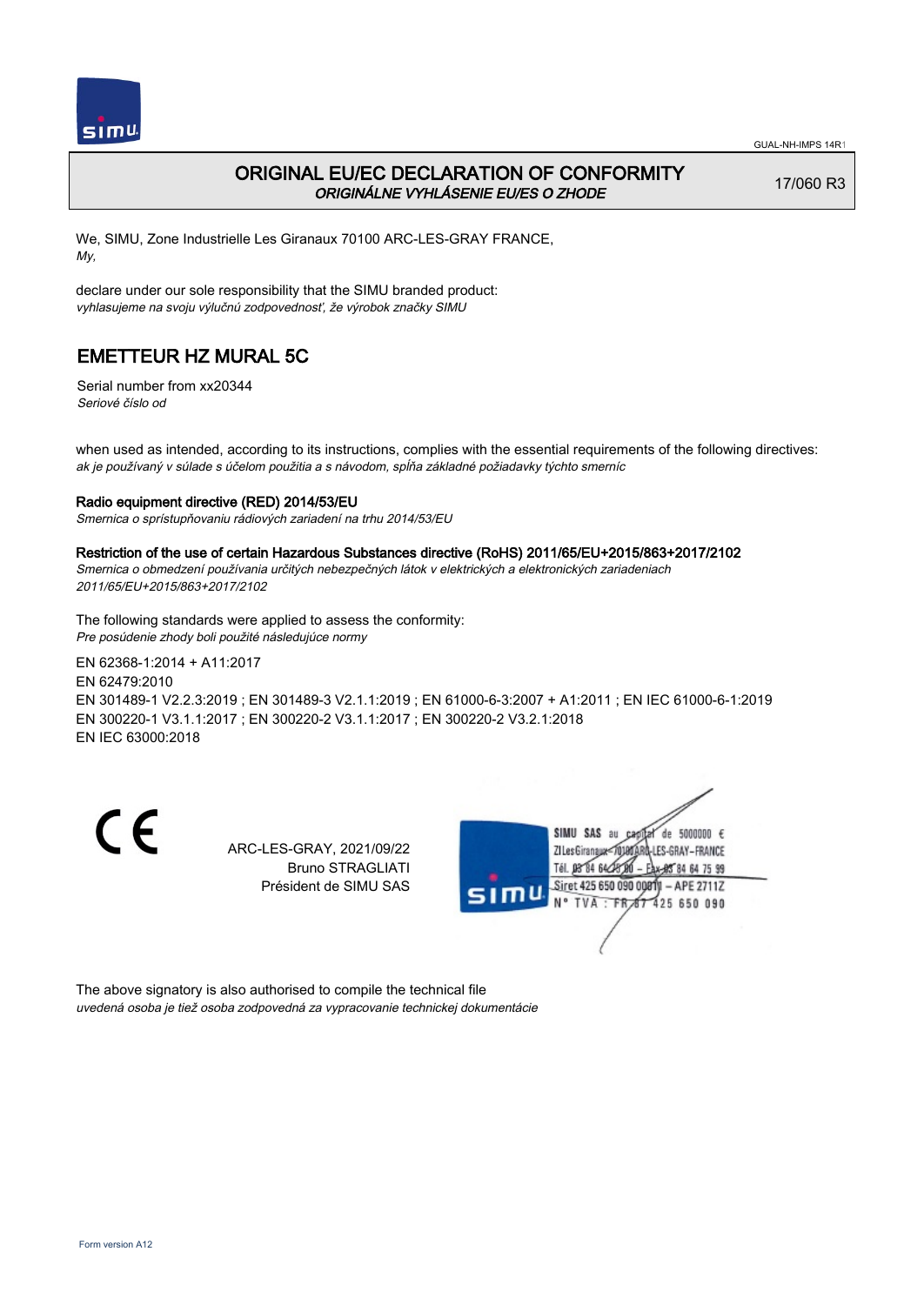

## ORIGINAL EU/EC DECLARATION OF CONFORMITY ORIGINÁLNE VYHLÁSENIE EU/ES O ZHODE

17/060 R3

We, SIMU, Zone Industrielle Les Giranaux 70100 ARC-LES-GRAY FRANCE, My,

declare under our sole responsibility that the SIMU branded product: vyhlasujeme na svoju výlučnú zodpovednosť, že výrobok značky SIMU

# EMETTEUR HZ MURAL 5C

Serial number from xx20344 Seriové číslo od

when used as intended, according to its instructions, complies with the essential requirements of the following directives: ak je používaný v súlade s účelom použitia a s návodom, spĺňa základné požiadavky týchto smerníc

### Radio equipment directive (RED) 2014/53/EU

Smernica o sprístupňovaniu rádiových zariadení na trhu 2014/53/EU

#### Restriction of the use of certain Hazardous Substances directive (RoHS) 2011/65/EU+2015/863+2017/2102

Smernica o obmedzení používania určitých nebezpečných látok v elektrických a elektronických zariadeniach 2011/65/EU+2015/863+2017/2102

The following standards were applied to assess the conformity: Pre posúdenie zhody boli použité následujúce normy

EN 62368‑1:2014 + A11:2017 EN 62479:2010 EN 301489‑1 V2.2.3:2019 ; EN 301489‑3 V2.1.1:2019 ; EN 61000‑6‑3:2007 + A1:2011 ; EN IEC 61000‑6‑1:2019 EN 300220‑1 V3.1.1:2017 ; EN 300220‑2 V3.1.1:2017 ; EN 300220‑2 V3.2.1:2018 EN IEC 63000:2018

C E

ARC-LES-GRAY, 2021/09/22 Bruno STRAGLIATI Président de SIMU SAS



The above signatory is also authorised to compile the technical file uvedená osoba je tiež osoba zodpovedná za vypracovanie technickej dokumentácie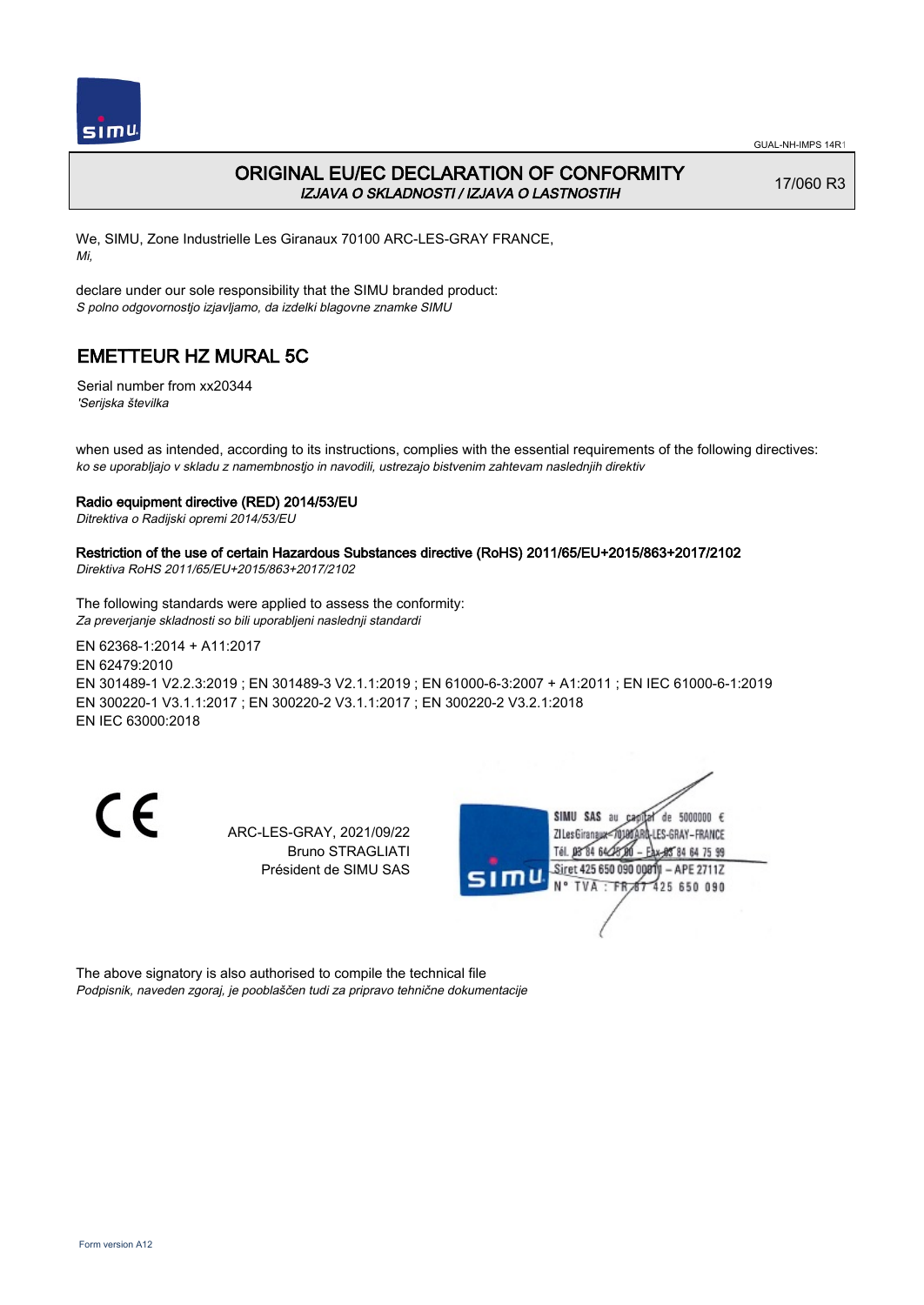

## ORIGINAL EU/EC DECLARATION OF CONFORMITY IZJAVA O SKLADNOSTI / IZJAVA O LASTNOSTIH

17/060 R3

We, SIMU, Zone Industrielle Les Giranaux 70100 ARC-LES-GRAY FRANCE, Mi,

declare under our sole responsibility that the SIMU branded product: S polno odgovornostjo izjavljamo, da izdelki blagovne znamke SIMU

# EMETTEUR HZ MURAL 5C

Serial number from xx20344 'Serijska številka

when used as intended, according to its instructions, complies with the essential requirements of the following directives: ko se uporabljajo v skladu z namembnostjo in navodili, ustrezajo bistvenim zahtevam naslednjih direktiv

### Radio equipment directive (RED) 2014/53/EU

Ditrektiva o Radijski opremi 2014/53/EU

## Restriction of the use of certain Hazardous Substances directive (RoHS) 2011/65/EU+2015/863+2017/2102

Direktiva RoHS 2011/65/EU+2015/863+2017/2102

The following standards were applied to assess the conformity: Za preverjanje skladnosti so bili uporabljeni naslednji standardi

EN 62368‑1:2014 + A11:2017 EN 62479:2010 EN 301489‑1 V2.2.3:2019 ; EN 301489‑3 V2.1.1:2019 ; EN 61000‑6‑3:2007 + A1:2011 ; EN IEC 61000‑6‑1:2019 EN 300220‑1 V3.1.1:2017 ; EN 300220‑2 V3.1.1:2017 ; EN 300220‑2 V3.2.1:2018 EN IEC 63000:2018

CE

ARC-LES-GRAY, 2021/09/22 Bruno STRAGLIATI Président de SIMU SAS



The above signatory is also authorised to compile the technical file Podpisnik, naveden zgoraj, je pooblaščen tudi za pripravo tehnične dokumentacije